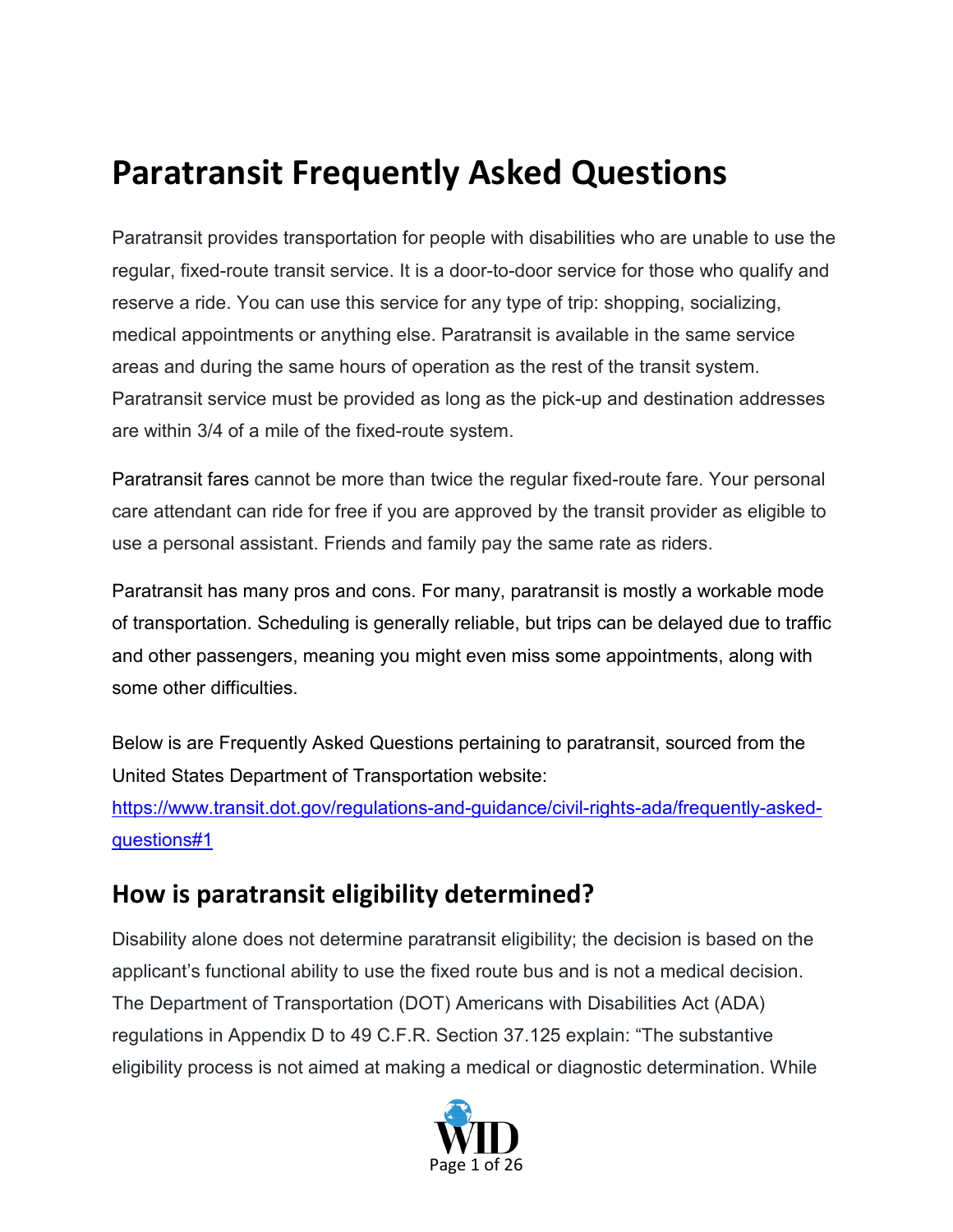# **Paratransit Frequently Asked Questions**

Paratransit provides transportation for people with disabilities who are unable to use the regular, fixed-route transit service. It is a door-to-door service for those who qualify and reserve a ride. You can use this service for any type of trip: shopping, socializing, medical appointments or anything else. Paratransit is available in the same service areas and during the same hours of operation as the rest of the transit system. Paratransit service must be provided as long as the pick-up and destination addresses are within 3/4 of a mile of the fixed-route system.

Paratransit fares cannot be more than twice the regular fixed-route fare. Your personal care attendant can ride for free if you are approved by the transit provider as eligible to use a personal assistant. Friends and family pay the same rate as riders.

Paratransit has many pros and cons. For many, paratransit is mostly a workable mode of transportation. Scheduling is generally reliable, but trips can be delayed due to traffic and other passengers, meaning you might even miss some appointments, along with some other difficulties.

Below is are Frequently Asked Questions pertaining to paratransit, sourced from the United States Department of Transportation website:

[https://www.transit.dot.gov/regulations-and-guidance/civil-rights-ada/frequently-asked](https://www.transit.dot.gov/regulations-and-guidance/civil-rights-ada/frequently-asked-questions#1)[questions#1](https://www.transit.dot.gov/regulations-and-guidance/civil-rights-ada/frequently-asked-questions#1)

#### **How is paratransit eligibility determined?**

Disability alone does not determine paratransit eligibility; the decision is based on the applicant's functional ability to use the fixed route bus and is not a medical decision. The Department of Transportation (DOT) Americans with Disabilities Act (ADA) regulations in Appendix D to 49 C.F.R. Section 37.125 explain: "The substantive eligibility process is not aimed at making a medical or diagnostic determination. While

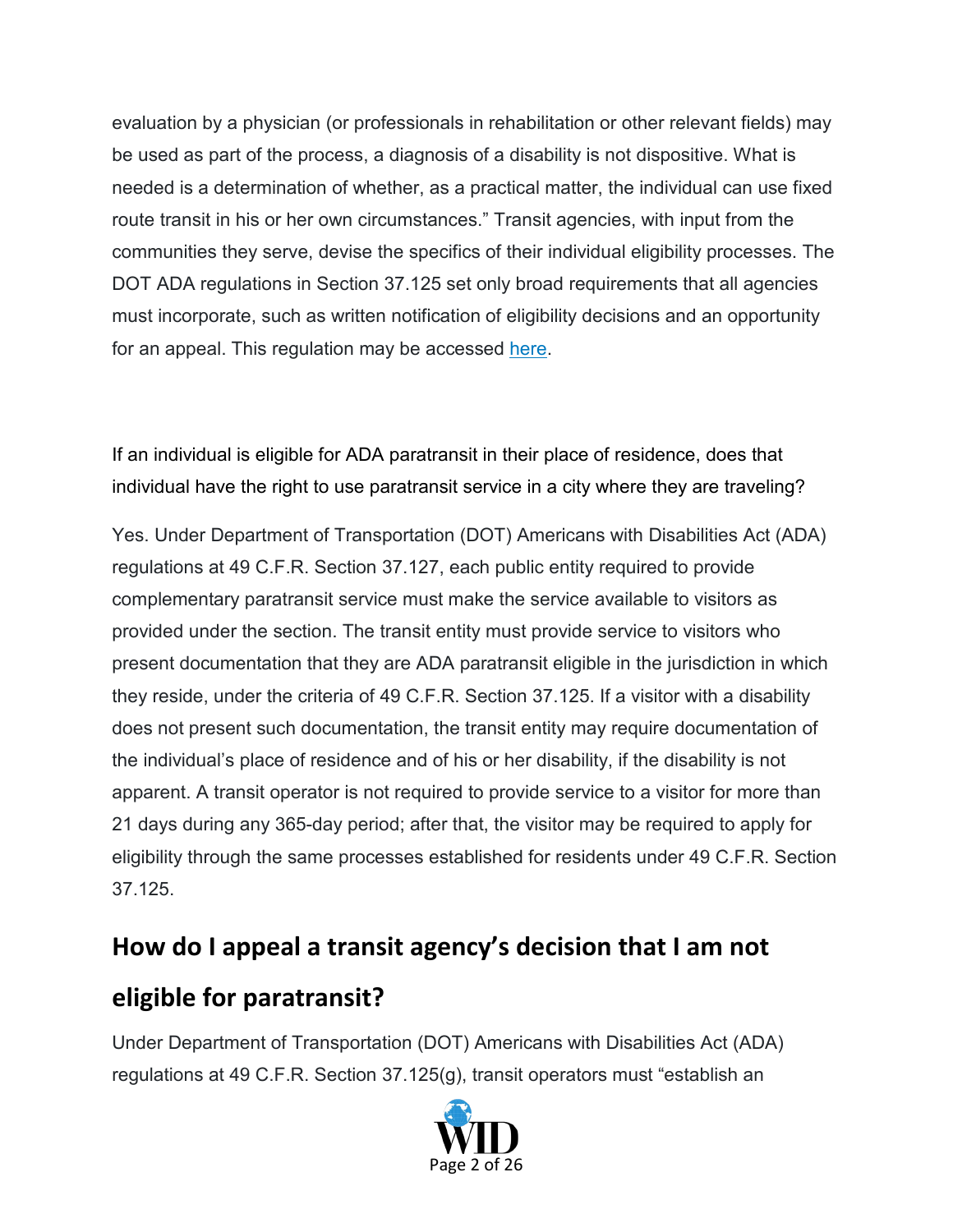evaluation by a physician (or professionals in rehabilitation or other relevant fields) may be used as part of the process, a diagnosis of a disability is not dispositive. What is needed is a determination of whether, as a practical matter, the individual can use fixed route transit in his or her own circumstances." Transit agencies, with input from the communities they serve, devise the specifics of their individual eligibility processes. The DOT ADA regulations in Section 37.125 set only broad requirements that all agencies must incorporate, such as written notification of eligibility decisions and an opportunity for an appeal. This regulation may be accessed [here.](https://www.transit.dot.gov/regulations-and-guidance/civil-rights/part-37-transportation-services-individuals-disabilities)

If an individual is eligible for ADA paratransit in their place of residence, does that individual have the right to use paratransit service in a city where they are traveling?

Yes. Under Department of Transportation (DOT) Americans with Disabilities Act (ADA) regulations at 49 C.F.R. Section 37.127, each public entity required to provide complementary paratransit service must make the service available to visitors as provided under the section. The transit entity must provide service to visitors who present documentation that they are ADA paratransit eligible in the jurisdiction in which they reside, under the criteria of 49 C.F.R. Section 37.125. If a visitor with a disability does not present such documentation, the transit entity may require documentation of the individual's place of residence and of his or her disability, if the disability is not apparent. A transit operator is not required to provide service to a visitor for more than 21 days during any 365-day period; after that, the visitor may be required to apply for eligibility through the same processes established for residents under 49 C.F.R. Section 37.125.

#### **How do I appeal a transit agency's decision that I am not**

#### **eligible for paratransit?**

Under Department of Transportation (DOT) Americans with Disabilities Act (ADA) regulations at 49 C.F.R. Section 37.125(g), transit operators must "establish an

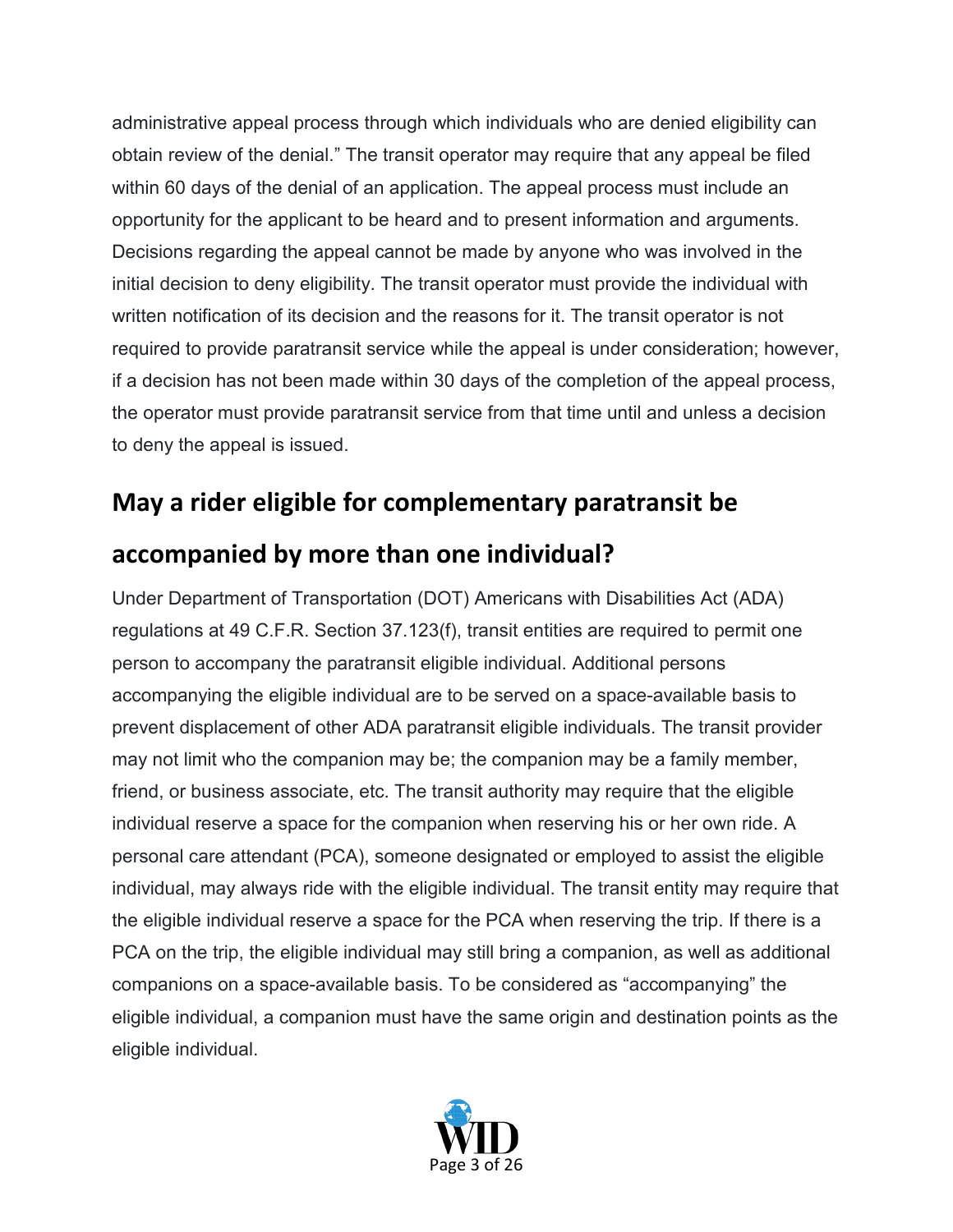administrative appeal process through which individuals who are denied eligibility can obtain review of the denial." The transit operator may require that any appeal be filed within 60 days of the denial of an application. The appeal process must include an opportunity for the applicant to be heard and to present information and arguments. Decisions regarding the appeal cannot be made by anyone who was involved in the initial decision to deny eligibility. The transit operator must provide the individual with written notification of its decision and the reasons for it. The transit operator is not required to provide paratransit service while the appeal is under consideration; however, if a decision has not been made within 30 days of the completion of the appeal process, the operator must provide paratransit service from that time until and unless a decision to deny the appeal is issued.

#### **May a rider eligible for complementary paratransit be**

#### **accompanied by more than one individual?**

Under Department of Transportation (DOT) Americans with Disabilities Act (ADA) regulations at 49 C.F.R. Section 37.123(f), transit entities are required to permit one person to accompany the paratransit eligible individual. Additional persons accompanying the eligible individual are to be served on a space-available basis to prevent displacement of other ADA paratransit eligible individuals. The transit provider may not limit who the companion may be; the companion may be a family member, friend, or business associate, etc. The transit authority may require that the eligible individual reserve a space for the companion when reserving his or her own ride. A personal care attendant (PCA), someone designated or employed to assist the eligible individual, may always ride with the eligible individual. The transit entity may require that the eligible individual reserve a space for the PCA when reserving the trip. If there is a PCA on the trip, the eligible individual may still bring a companion, as well as additional companions on a space-available basis. To be considered as "accompanying" the eligible individual, a companion must have the same origin and destination points as the eligible individual.

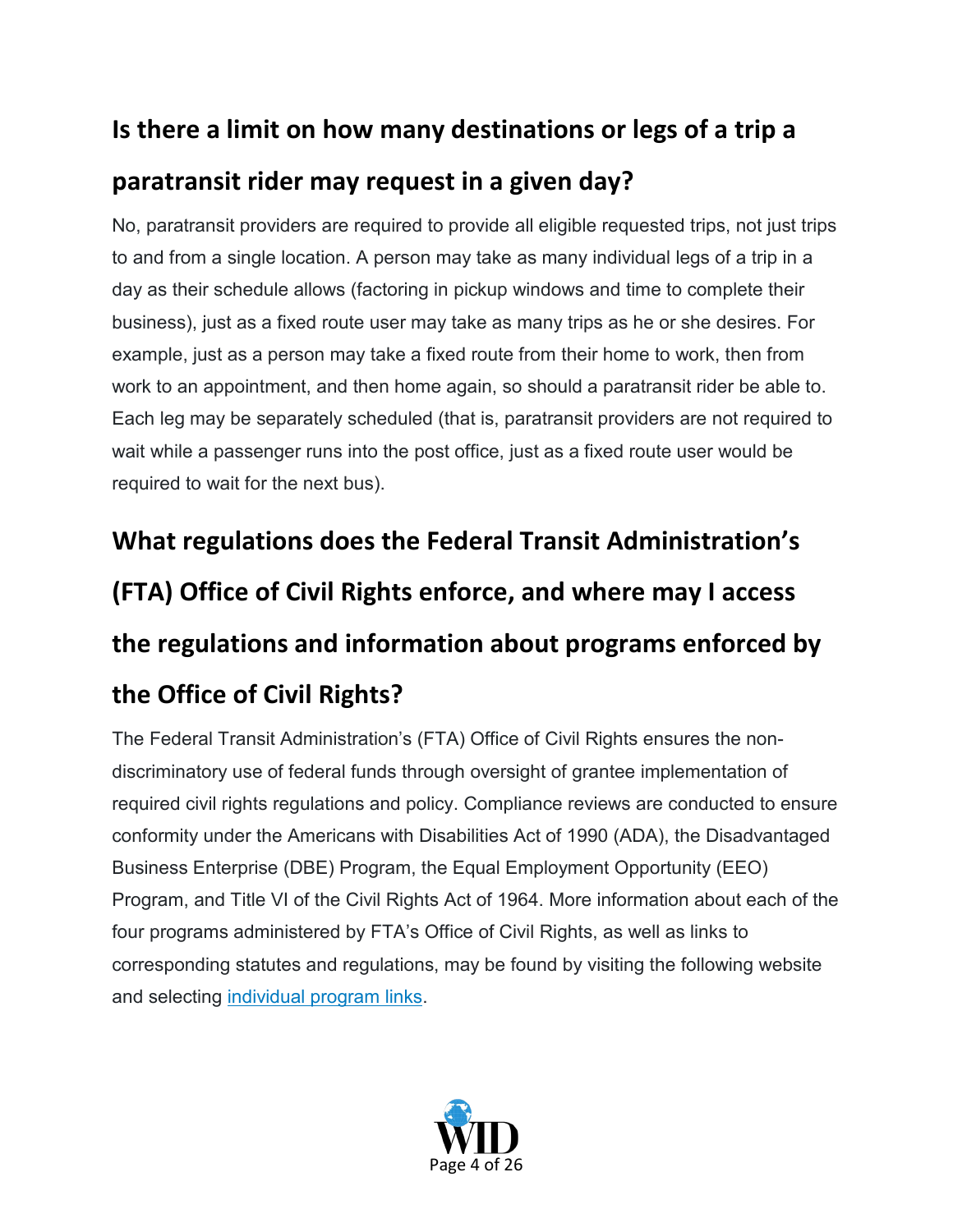# **Is there a limit on how many destinations or legs of a trip a**

# **paratransit rider may request in a given day?**

No, paratransit providers are required to provide all eligible requested trips, not just trips to and from a single location. A person may take as many individual legs of a trip in a day as their schedule allows (factoring in pickup windows and time to complete their business), just as a fixed route user may take as many trips as he or she desires. For example, just as a person may take a fixed route from their home to work, then from work to an appointment, and then home again, so should a paratransit rider be able to. Each leg may be separately scheduled (that is, paratransit providers are not required to wait while a passenger runs into the post office, just as a fixed route user would be required to wait for the next bus).

# **What regulations does the Federal Transit Administration's (FTA) Office of Civil Rights enforce, and where may I access the regulations and information about programs enforced by the Office of Civil Rights?**

The Federal Transit Administration's (FTA) Office of Civil Rights ensures the nondiscriminatory use of federal funds through oversight of grantee implementation of required civil rights regulations and policy. Compliance reviews are conducted to ensure conformity under the Americans with Disabilities Act of 1990 (ADA), the Disadvantaged Business Enterprise (DBE) Program, the Equal Employment Opportunity (EEO) Program, and Title VI of the Civil Rights Act of 1964. More information about each of the four programs administered by FTA's Office of Civil Rights, as well as links to corresponding statutes and regulations, may be found by visiting the following website and selecting [individual program links.](https://www.transit.dot.gov/oversight-policy-areas/civil-rights-ada)

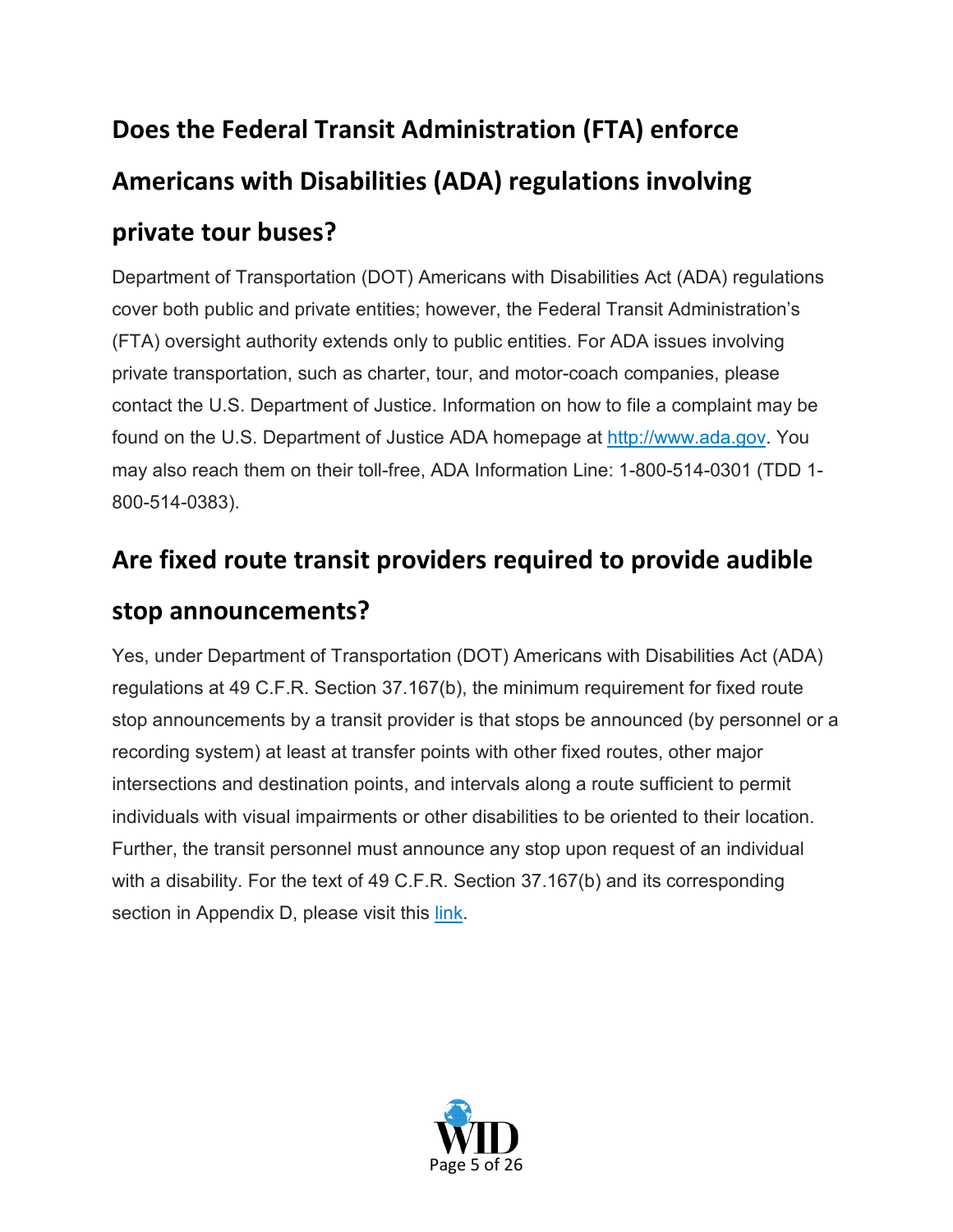# **Does the Federal Transit Administration (FTA) enforce Americans with Disabilities (ADA) regulations involving**

## **private tour buses?**

Department of Transportation (DOT) Americans with Disabilities Act (ADA) regulations cover both public and private entities; however, the Federal Transit Administration's (FTA) oversight authority extends only to public entities. For ADA issues involving private transportation, such as charter, tour, and motor-coach companies, please contact the U.S. Department of Justice. Information on how to file a complaint may be found on the U.S. Department of Justice ADA homepage at [http://www.ada.gov.](http://www.ada.gov/) You may also reach them on their toll-free, ADA Information Line: 1-800-514-0301 (TDD 1- 800-514-0383).

# **Are fixed route transit providers required to provide audible**

#### **stop announcements?**

Yes, under Department of Transportation (DOT) Americans with Disabilities Act (ADA) regulations at 49 C.F.R. Section 37.167(b), the minimum requirement for fixed route stop announcements by a transit provider is that stops be announced (by personnel or a recording system) at least at transfer points with other fixed routes, other major intersections and destination points, and intervals along a route sufficient to permit individuals with visual impairments or other disabilities to be oriented to their location. Further, the transit personnel must announce any stop upon request of an individual with a disability. For the text of 49 C.F.R. Section 37.167(b) and its corresponding section in Appendix D, please visit this [link.](https://www.transit.dot.gov/regulations-and-guidance/civil-rights/part-37-transportation-services-individuals-disabilities)

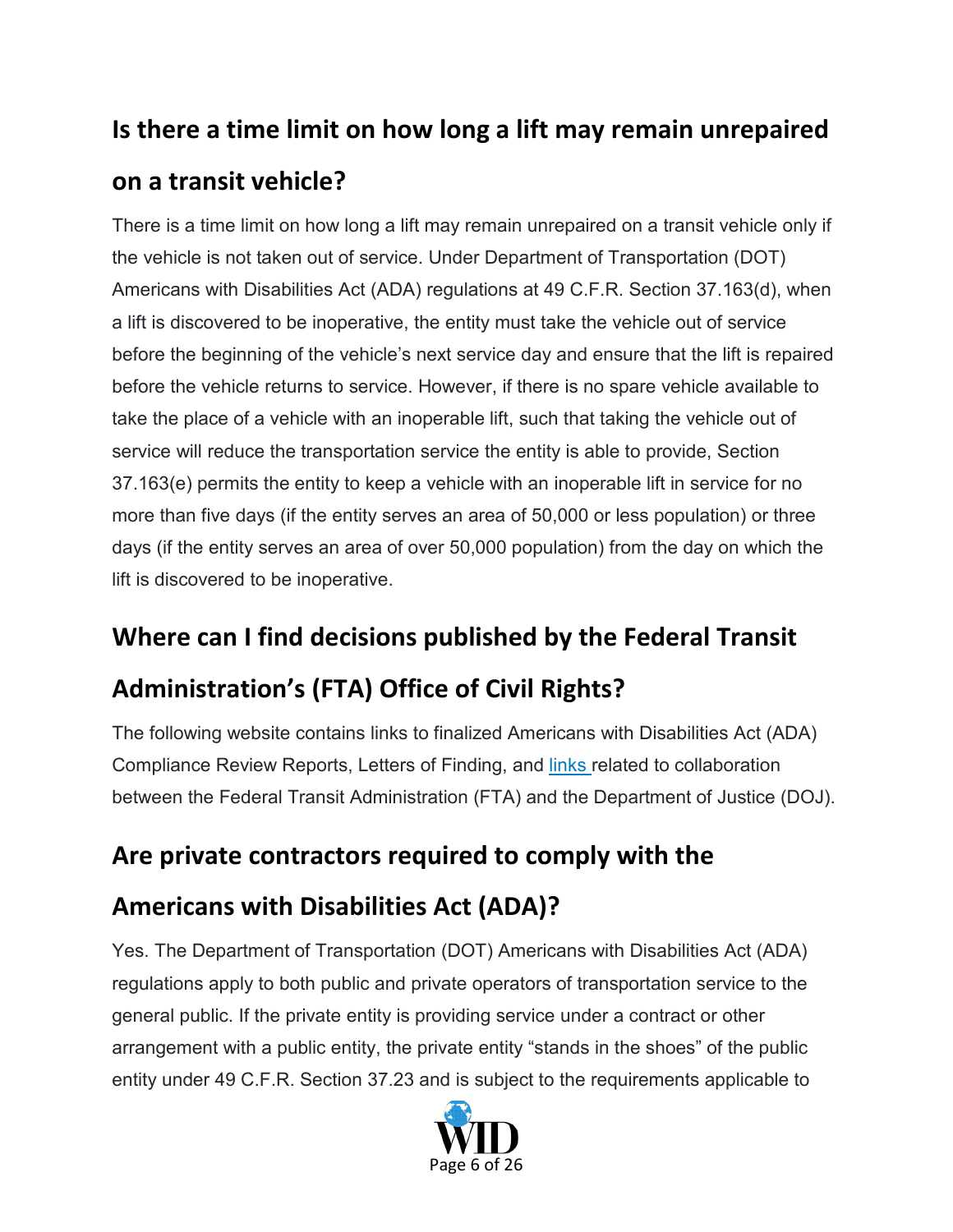# **Is there a time limit on how long a lift may remain unrepaired on a transit vehicle?**

There is a time limit on how long a lift may remain unrepaired on a transit vehicle only if the vehicle is not taken out of service. Under Department of Transportation (DOT) Americans with Disabilities Act (ADA) regulations at 49 C.F.R. Section 37.163(d), when a lift is discovered to be inoperative, the entity must take the vehicle out of service before the beginning of the vehicle's next service day and ensure that the lift is repaired before the vehicle returns to service. However, if there is no spare vehicle available to take the place of a vehicle with an inoperable lift, such that taking the vehicle out of service will reduce the transportation service the entity is able to provide, Section 37.163(e) permits the entity to keep a vehicle with an inoperable lift in service for no more than five days (if the entity serves an area of 50,000 or less population) or three days (if the entity serves an area of over 50,000 population) from the day on which the lift is discovered to be inoperative.

# **Where can I find decisions published by the Federal Transit**

# **Administration's (FTA) Office of Civil Rights?**

The following website contains links to finalized Americans with Disabilities Act (ADA) Compliance Review Reports, Letters of Finding, and [links r](https://www.transit.dot.gov/regulations-and-guidance/oversight-policy-areas/civil-rights-ada/ada-compliance)elated to collaboration between the Federal Transit Administration (FTA) and the Department of Justice (DOJ).

# **Are private contractors required to comply with the**

# **Americans with Disabilities Act (ADA)?**

Yes. The Department of Transportation (DOT) Americans with Disabilities Act (ADA) regulations apply to both public and private operators of transportation service to the general public. If the private entity is providing service under a contract or other arrangement with a public entity, the private entity "stands in the shoes" of the public entity under 49 C.F.R. Section 37.23 and is subject to the requirements applicable to

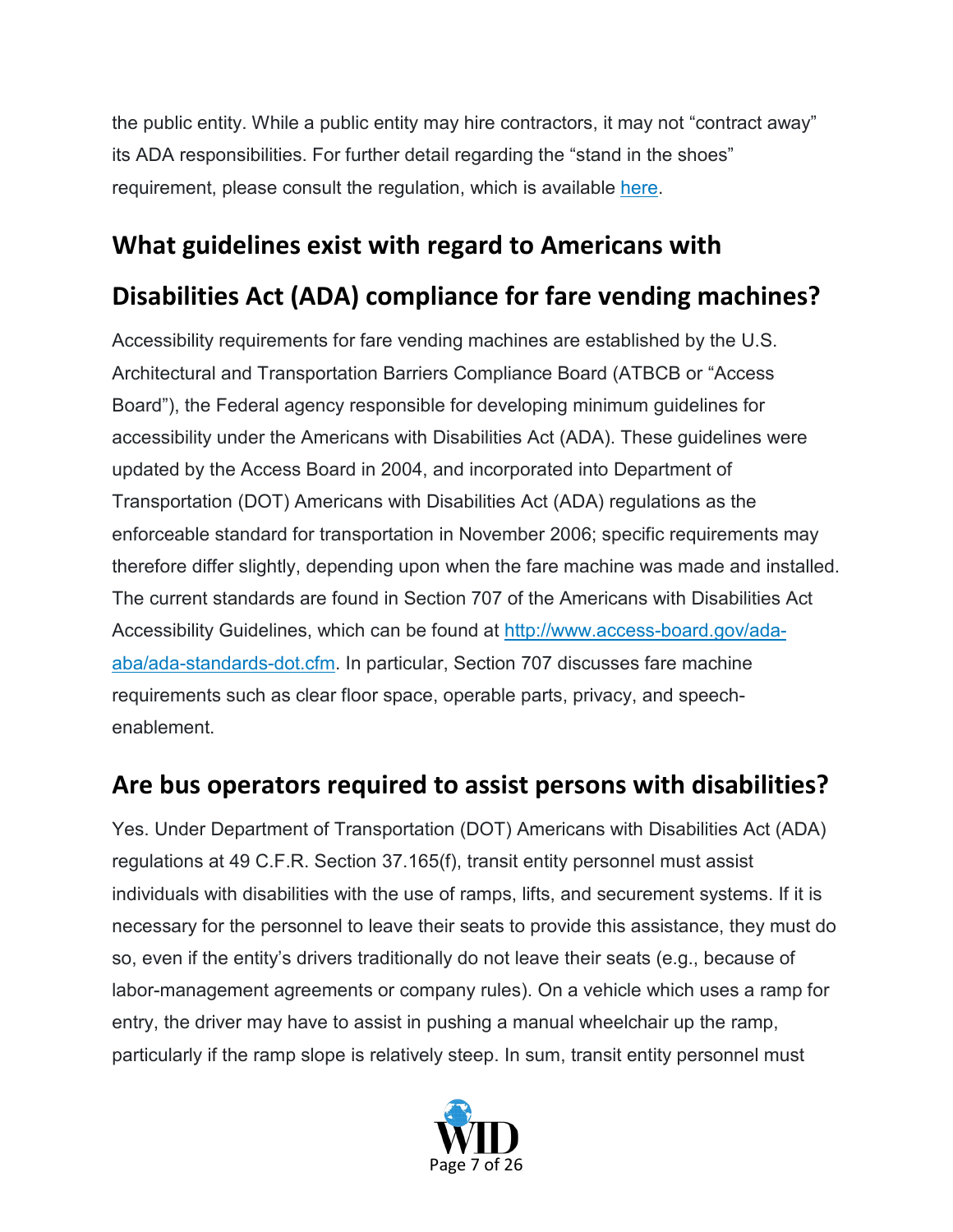the public entity. While a public entity may hire contractors, it may not "contract away" its ADA responsibilities. For further detail regarding the "stand in the shoes" requirement, please consult the regulation, which is available [here.](https://www.transit.dot.gov/regulations-and-guidance/civil-rights/part-37-transportation-services-individuals-disabilities)

#### **What guidelines exist with regard to Americans with**

## **Disabilities Act (ADA) compliance for fare vending machines?**

Accessibility requirements for fare vending machines are established by the U.S. Architectural and Transportation Barriers Compliance Board (ATBCB or "Access Board"), the Federal agency responsible for developing minimum guidelines for accessibility under the Americans with Disabilities Act (ADA). These guidelines were updated by the Access Board in 2004, and incorporated into Department of Transportation (DOT) Americans with Disabilities Act (ADA) regulations as the enforceable standard for transportation in November 2006; specific requirements may therefore differ slightly, depending upon when the fare machine was made and installed. The current standards are found in Section 707 of the Americans with Disabilities Act Accessibility Guidelines, which can be found at [http://www.access-board.gov/ada](http://www.access-board.gov/ada-aba/ada-standards-dot.cfm)[aba/ada-standards-dot.cfm.](http://www.access-board.gov/ada-aba/ada-standards-dot.cfm) In particular, Section 707 discusses fare machine requirements such as clear floor space, operable parts, privacy, and speechenablement.

#### **Are bus operators required to assist persons with disabilities?**

Yes. Under Department of Transportation (DOT) Americans with Disabilities Act (ADA) regulations at 49 C.F.R. Section 37.165(f), transit entity personnel must assist individuals with disabilities with the use of ramps, lifts, and securement systems. If it is necessary for the personnel to leave their seats to provide this assistance, they must do so, even if the entity's drivers traditionally do not leave their seats (e.g., because of labor-management agreements or company rules). On a vehicle which uses a ramp for entry, the driver may have to assist in pushing a manual wheelchair up the ramp, particularly if the ramp slope is relatively steep. In sum, transit entity personnel must

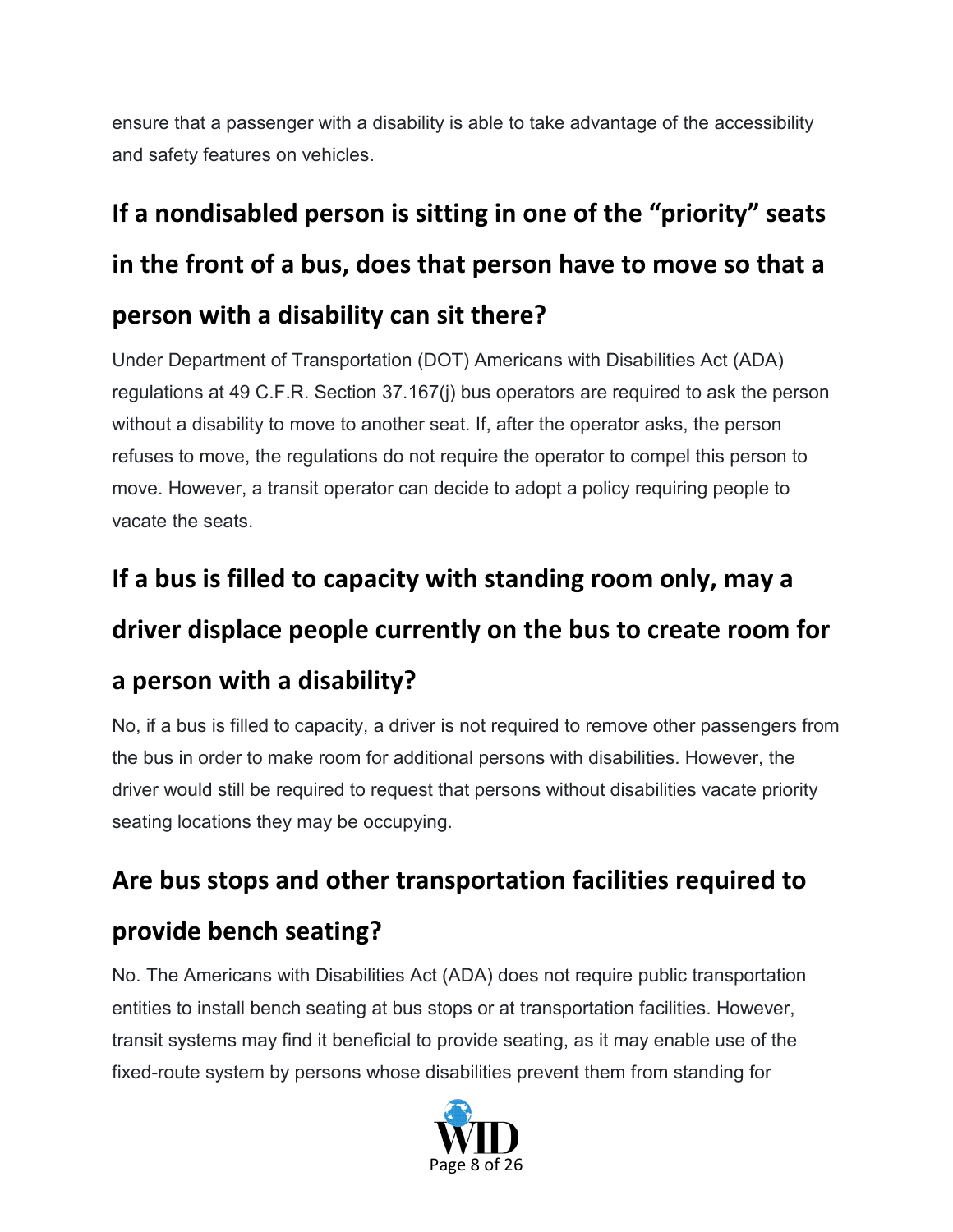ensure that a passenger with a disability is able to take advantage of the accessibility and safety features on vehicles.

# **If a nondisabled person is sitting in one of the "priority" seats in the front of a bus, does that person have to move so that a person with a disability can sit there?**

Under Department of Transportation (DOT) Americans with Disabilities Act (ADA) regulations at 49 C.F.R. Section 37.167(j) bus operators are required to ask the person without a disability to move to another seat. If, after the operator asks, the person refuses to move, the regulations do not require the operator to compel this person to move. However, a transit operator can decide to adopt a policy requiring people to vacate the seats.

# **If a bus is filled to capacity with standing room only, may a driver displace people currently on the bus to create room for a person with a disability?**

No, if a bus is filled to capacity, a driver is not required to remove other passengers from the bus in order to make room for additional persons with disabilities. However, the driver would still be required to request that persons without disabilities vacate priority seating locations they may be occupying.

# **Are bus stops and other transportation facilities required to**

# **provide bench seating?**

No. The Americans with Disabilities Act (ADA) does not require public transportation entities to install bench seating at bus stops or at transportation facilities. However, transit systems may find it beneficial to provide seating, as it may enable use of the fixed-route system by persons whose disabilities prevent them from standing for

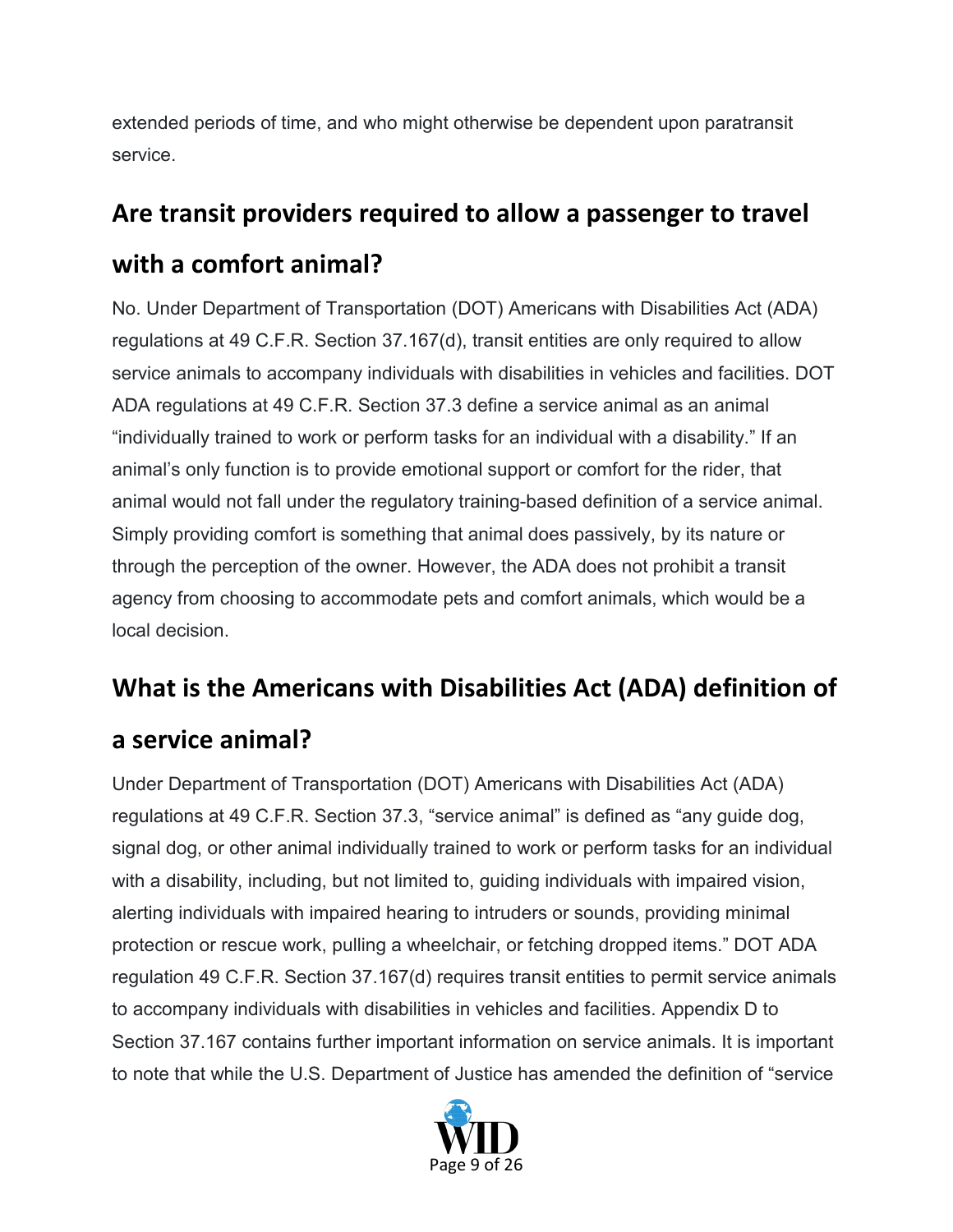extended periods of time, and who might otherwise be dependent upon paratransit service.

# **Are transit providers required to allow a passenger to travel**

#### **with a comfort animal?**

No. Under Department of Transportation (DOT) Americans with Disabilities Act (ADA) regulations at 49 C.F.R. Section 37.167(d), transit entities are only required to allow service animals to accompany individuals with disabilities in vehicles and facilities. DOT ADA regulations at 49 C.F.R. Section 37.3 define a service animal as an animal "individually trained to work or perform tasks for an individual with a disability." If an animal's only function is to provide emotional support or comfort for the rider, that animal would not fall under the regulatory training-based definition of a service animal. Simply providing comfort is something that animal does passively, by its nature or through the perception of the owner. However, the ADA does not prohibit a transit agency from choosing to accommodate pets and comfort animals, which would be a local decision.

# **What is the Americans with Disabilities Act (ADA) definition of a service animal?**

Under Department of Transportation (DOT) Americans with Disabilities Act (ADA) regulations at 49 C.F.R. Section 37.3, "service animal" is defined as "any guide dog, signal dog, or other animal individually trained to work or perform tasks for an individual with a disability, including, but not limited to, guiding individuals with impaired vision, alerting individuals with impaired hearing to intruders or sounds, providing minimal protection or rescue work, pulling a wheelchair, or fetching dropped items." DOT ADA regulation 49 C.F.R. Section 37.167(d) requires transit entities to permit service animals to accompany individuals with disabilities in vehicles and facilities. Appendix D to Section 37.167 contains further important information on service animals. It is important to note that while the U.S. Department of Justice has amended the definition of "service

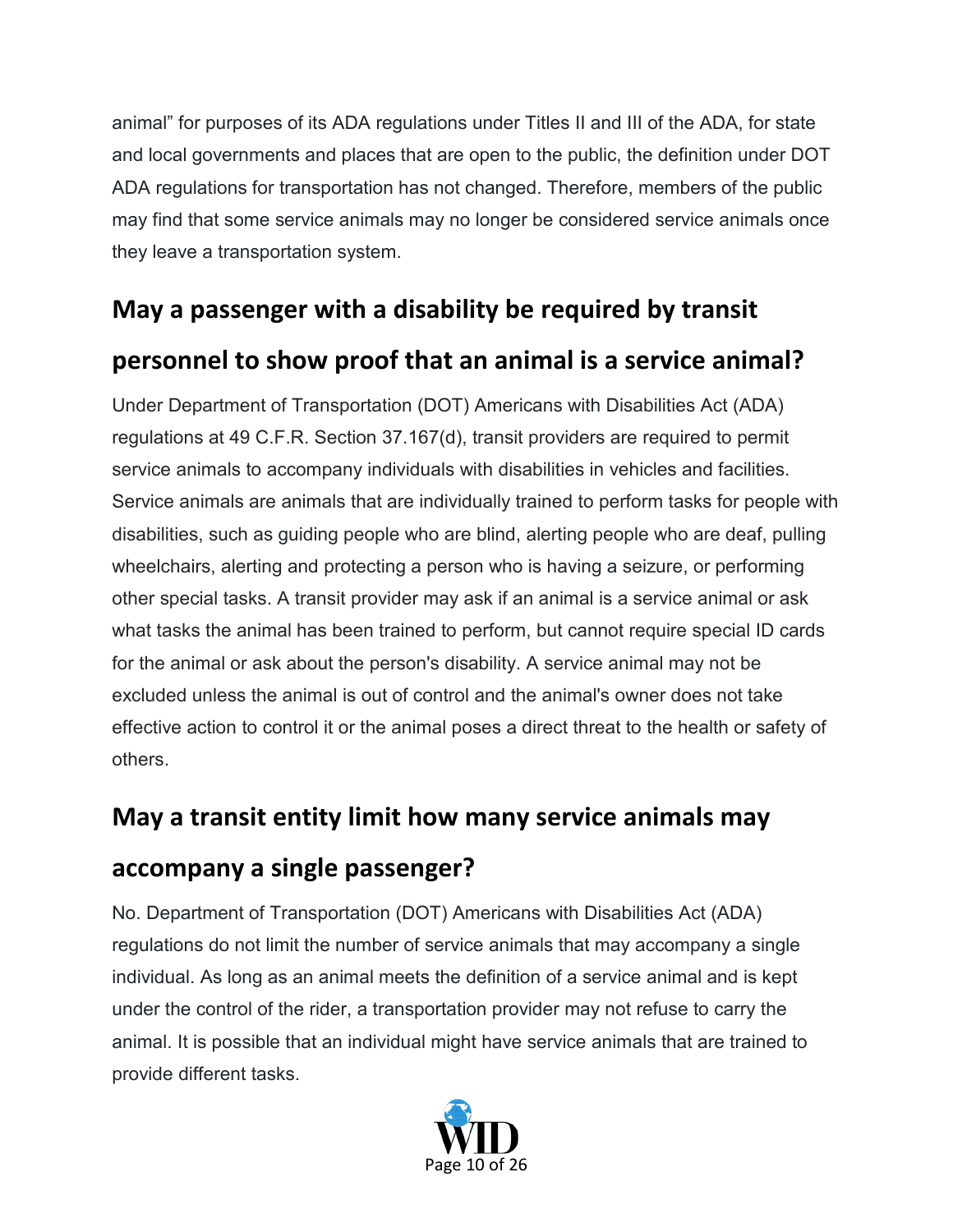animal" for purposes of its ADA regulations under Titles II and III of the ADA, for state and local governments and places that are open to the public, the definition under DOT ADA regulations for transportation has not changed. Therefore, members of the public may find that some service animals may no longer be considered service animals once they leave a transportation system.

#### **May a passenger with a disability be required by transit**

#### **personnel to show proof that an animal is a service animal?**

Under Department of Transportation (DOT) Americans with Disabilities Act (ADA) regulations at 49 C.F.R. Section 37.167(d), transit providers are required to permit service animals to accompany individuals with disabilities in vehicles and facilities. Service animals are animals that are individually trained to perform tasks for people with disabilities, such as guiding people who are blind, alerting people who are deaf, pulling wheelchairs, alerting and protecting a person who is having a seizure, or performing other special tasks. A transit provider may ask if an animal is a service animal or ask what tasks the animal has been trained to perform, but cannot require special ID cards for the animal or ask about the person's disability. A service animal may not be excluded unless the animal is out of control and the animal's owner does not take effective action to control it or the animal poses a direct threat to the health or safety of others.

#### **May a transit entity limit how many service animals may**

#### **accompany a single passenger?**

No. Department of Transportation (DOT) Americans with Disabilities Act (ADA) regulations do not limit the number of service animals that may accompany a single individual. As long as an animal meets the definition of a service animal and is kept under the control of the rider, a transportation provider may not refuse to carry the animal. It is possible that an individual might have service animals that are trained to provide different tasks.

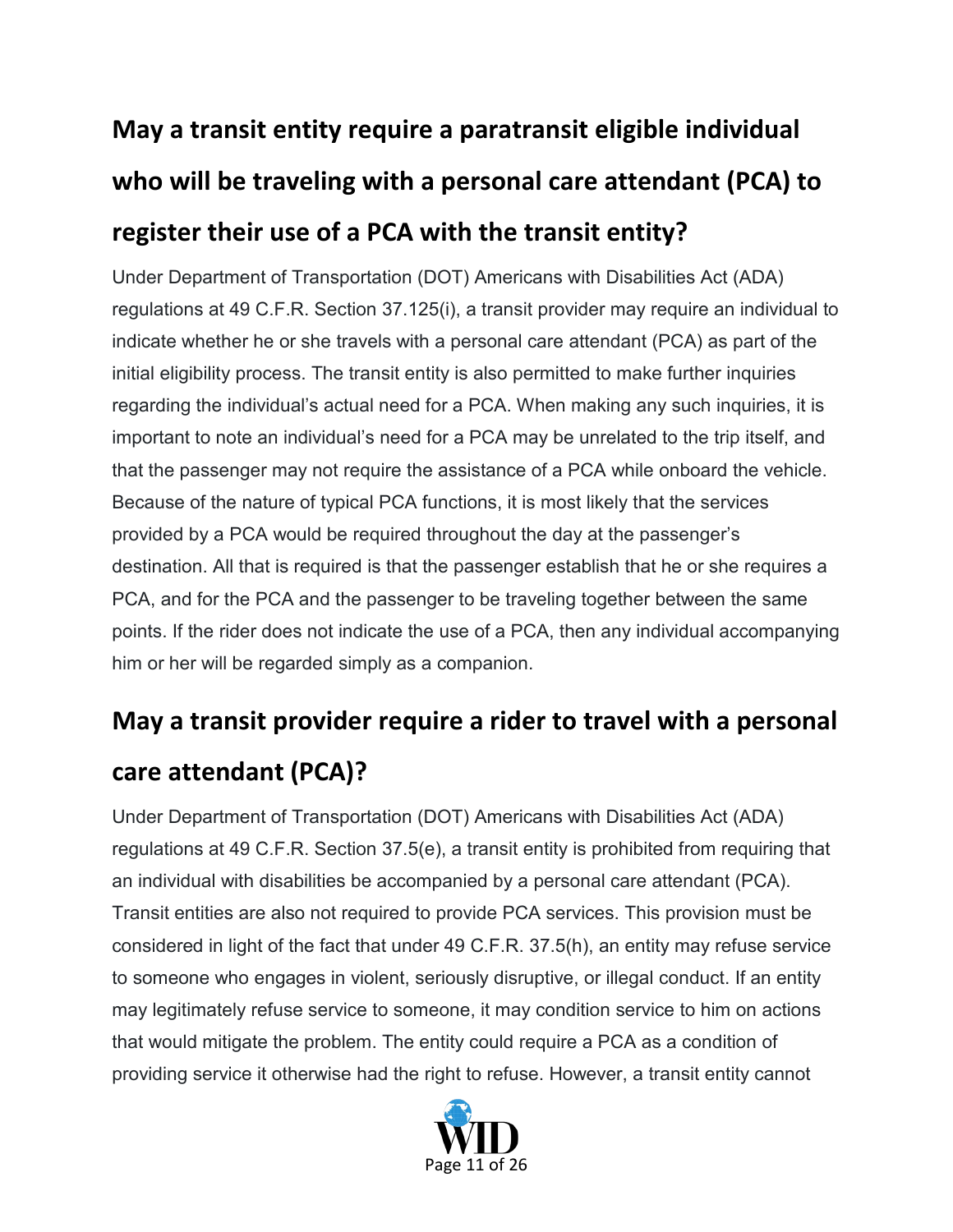# **May a transit entity require a paratransit eligible individual who will be traveling with a personal care attendant (PCA) to register their use of a PCA with the transit entity?**

Under Department of Transportation (DOT) Americans with Disabilities Act (ADA) regulations at 49 C.F.R. Section 37.125(i), a transit provider may require an individual to indicate whether he or she travels with a personal care attendant (PCA) as part of the initial eligibility process. The transit entity is also permitted to make further inquiries regarding the individual's actual need for a PCA. When making any such inquiries, it is important to note an individual's need for a PCA may be unrelated to the trip itself, and that the passenger may not require the assistance of a PCA while onboard the vehicle. Because of the nature of typical PCA functions, it is most likely that the services provided by a PCA would be required throughout the day at the passenger's destination. All that is required is that the passenger establish that he or she requires a PCA, and for the PCA and the passenger to be traveling together between the same points. If the rider does not indicate the use of a PCA, then any individual accompanying him or her will be regarded simply as a companion.

# **May a transit provider require a rider to travel with a personal**

#### **care attendant (PCA)?**

Under Department of Transportation (DOT) Americans with Disabilities Act (ADA) regulations at 49 C.F.R. Section 37.5(e), a transit entity is prohibited from requiring that an individual with disabilities be accompanied by a personal care attendant (PCA). Transit entities are also not required to provide PCA services. This provision must be considered in light of the fact that under 49 C.F.R. 37.5(h), an entity may refuse service to someone who engages in violent, seriously disruptive, or illegal conduct. If an entity may legitimately refuse service to someone, it may condition service to him on actions that would mitigate the problem. The entity could require a PCA as a condition of providing service it otherwise had the right to refuse. However, a transit entity cannot

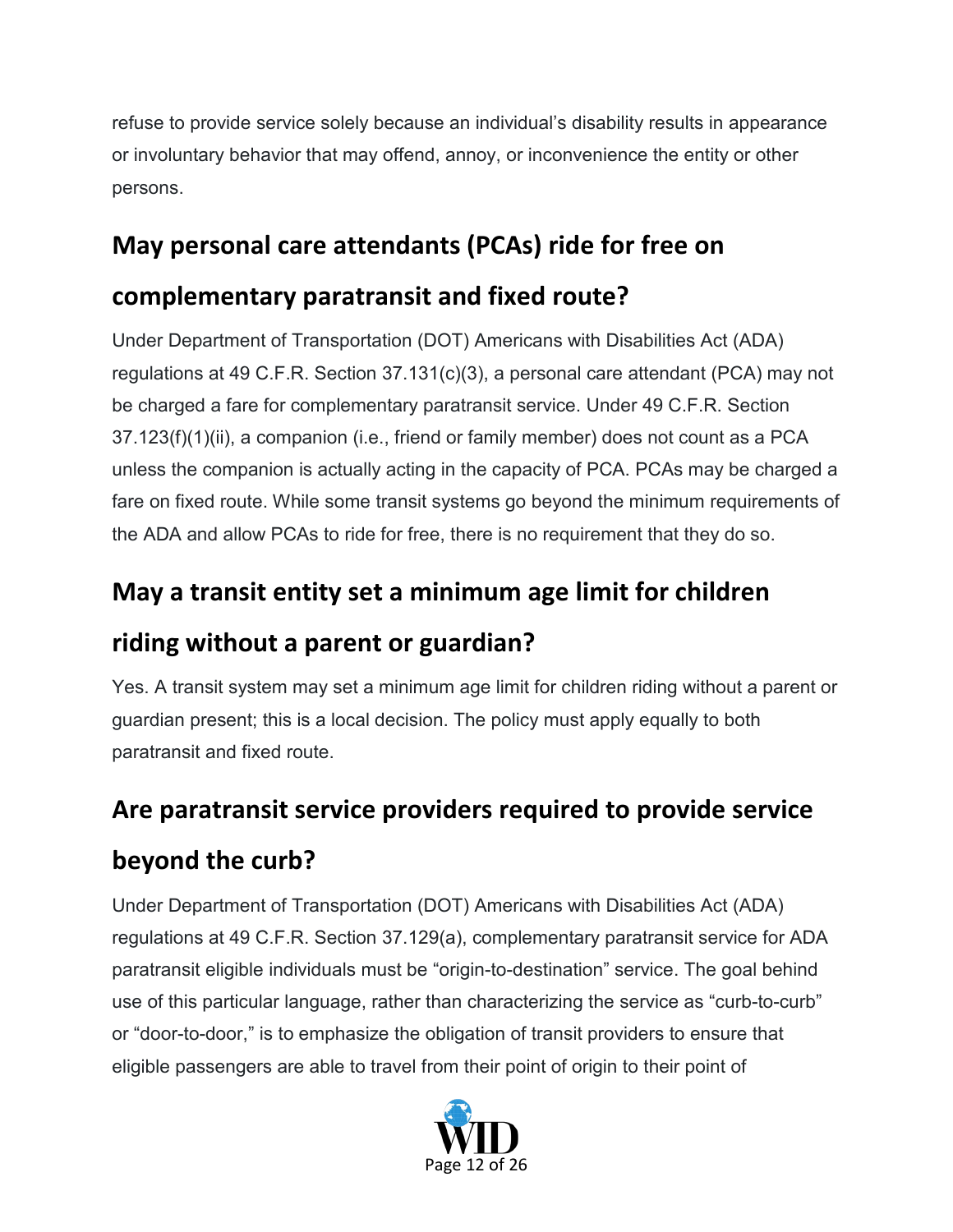refuse to provide service solely because an individual's disability results in appearance or involuntary behavior that may offend, annoy, or inconvenience the entity or other persons.

# **May personal care attendants (PCAs) ride for free on**

## **complementary paratransit and fixed route?**

Under Department of Transportation (DOT) Americans with Disabilities Act (ADA) regulations at 49 C.F.R. Section 37.131(c)(3), a personal care attendant (PCA) may not be charged a fare for complementary paratransit service. Under 49 C.F.R. Section 37.123(f)(1)(ii), a companion (i.e., friend or family member) does not count as a PCA unless the companion is actually acting in the capacity of PCA. PCAs may be charged a fare on fixed route. While some transit systems go beyond the minimum requirements of the ADA and allow PCAs to ride for free, there is no requirement that they do so.

## **May a transit entity set a minimum age limit for children**

# **riding without a parent or guardian?**

Yes. A transit system may set a minimum age limit for children riding without a parent or guardian present; this is a local decision. The policy must apply equally to both paratransit and fixed route.

## **Are paratransit service providers required to provide service**

# **beyond the curb?**

Under Department of Transportation (DOT) Americans with Disabilities Act (ADA) regulations at 49 C.F.R. Section 37.129(a), complementary paratransit service for ADA paratransit eligible individuals must be "origin-to-destination" service. The goal behind use of this particular language, rather than characterizing the service as "curb-to-curb" or "door-to-door," is to emphasize the obligation of transit providers to ensure that eligible passengers are able to travel from their point of origin to their point of

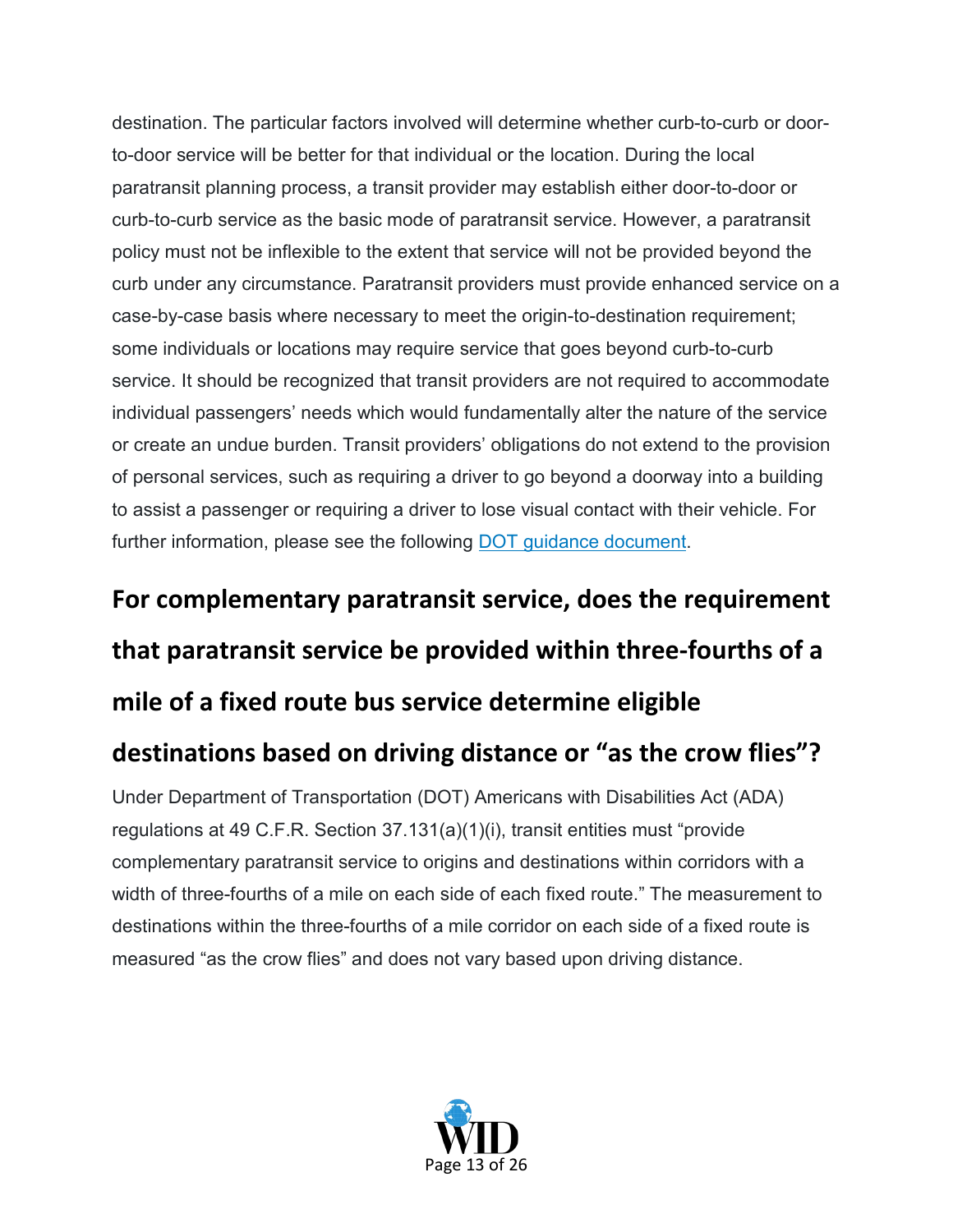destination. The particular factors involved will determine whether curb-to-curb or doorto-door service will be better for that individual or the location. During the local paratransit planning process, a transit provider may establish either door-to-door or curb-to-curb service as the basic mode of paratransit service. However, a paratransit policy must not be inflexible to the extent that service will not be provided beyond the curb under any circumstance. Paratransit providers must provide enhanced service on a case-by-case basis where necessary to meet the origin-to-destination requirement; some individuals or locations may require service that goes beyond curb-to-curb service. It should be recognized that transit providers are not required to accommodate individual passengers' needs which would fundamentally alter the nature of the service or create an undue burden. Transit providers' obligations do not extend to the provision of personal services, such as requiring a driver to go beyond a doorway into a building to assist a passenger or requiring a driver to lose visual contact with their vehicle. For further information, please see the following [DOT guidance document.](https://www.transit.dot.gov/regulations-and-guidance/civil-rights/origin-destination-service)

# **For complementary paratransit service, does the requirement that paratransit service be provided within three-fourths of a mile of a fixed route bus service determine eligible**

#### **destinations based on driving distance or "as the crow flies"?**

Under Department of Transportation (DOT) Americans with Disabilities Act (ADA) regulations at 49 C.F.R. Section 37.131(a)(1)(i), transit entities must "provide complementary paratransit service to origins and destinations within corridors with a width of three-fourths of a mile on each side of each fixed route." The measurement to destinations within the three-fourths of a mile corridor on each side of a fixed route is measured "as the crow flies" and does not vary based upon driving distance.

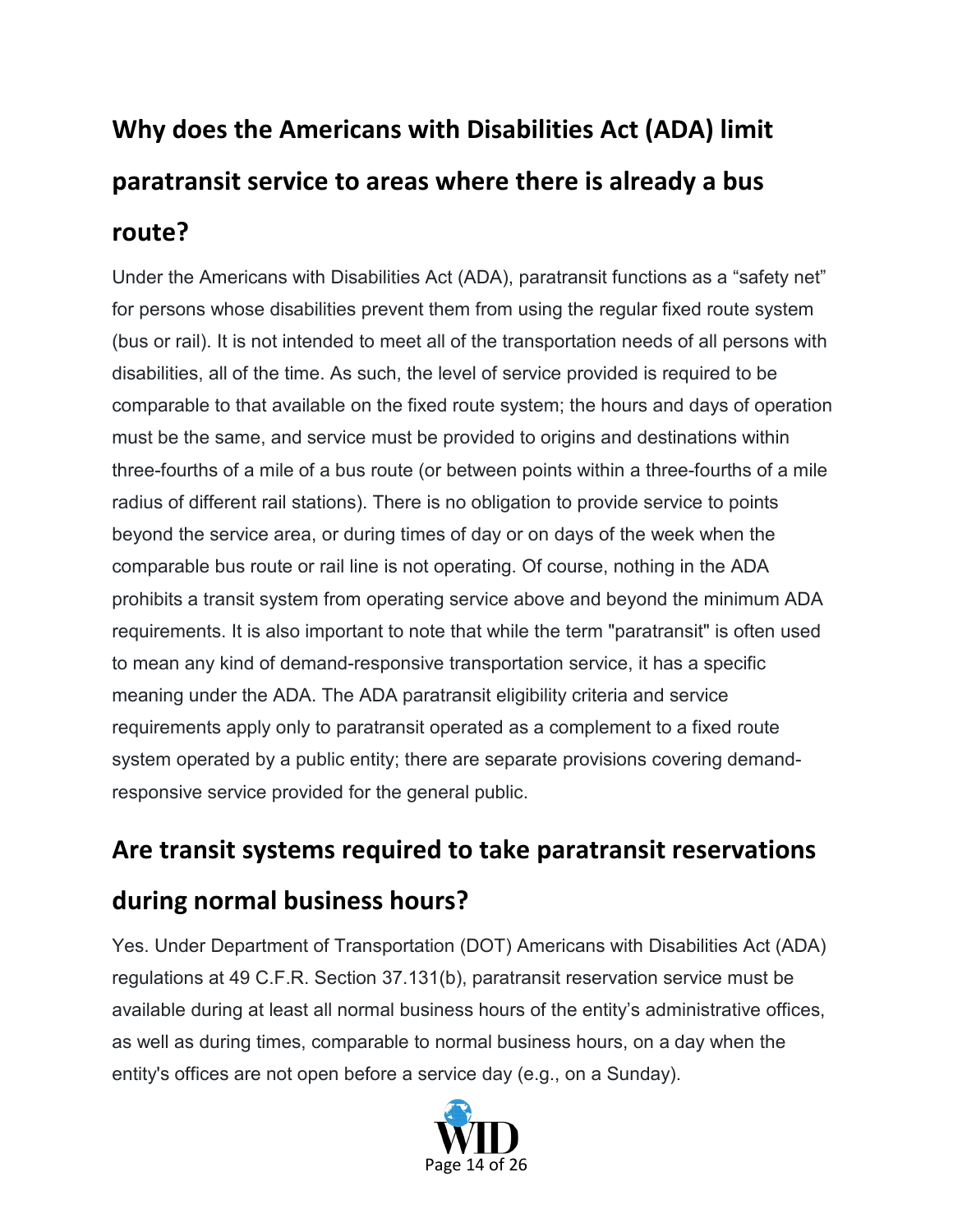# **Why does the Americans with Disabilities Act (ADA) limit paratransit service to areas where there is already a bus route?**

Under the Americans with Disabilities Act (ADA), paratransit functions as a "safety net" for persons whose disabilities prevent them from using the regular fixed route system (bus or rail). It is not intended to meet all of the transportation needs of all persons with disabilities, all of the time. As such, the level of service provided is required to be comparable to that available on the fixed route system; the hours and days of operation must be the same, and service must be provided to origins and destinations within three-fourths of a mile of a bus route (or between points within a three-fourths of a mile radius of different rail stations). There is no obligation to provide service to points beyond the service area, or during times of day or on days of the week when the comparable bus route or rail line is not operating. Of course, nothing in the ADA prohibits a transit system from operating service above and beyond the minimum ADA requirements. It is also important to note that while the term "paratransit" is often used to mean any kind of demand-responsive transportation service, it has a specific meaning under the ADA. The ADA paratransit eligibility criteria and service requirements apply only to paratransit operated as a complement to a fixed route system operated by a public entity; there are separate provisions covering demandresponsive service provided for the general public.

#### **Are transit systems required to take paratransit reservations**

#### **during normal business hours?**

Yes. Under Department of Transportation (DOT) Americans with Disabilities Act (ADA) regulations at 49 C.F.R. Section 37.131(b), paratransit reservation service must be available during at least all normal business hours of the entity's administrative offices, as well as during times, comparable to normal business hours, on a day when the entity's offices are not open before a service day (e.g., on a Sunday).

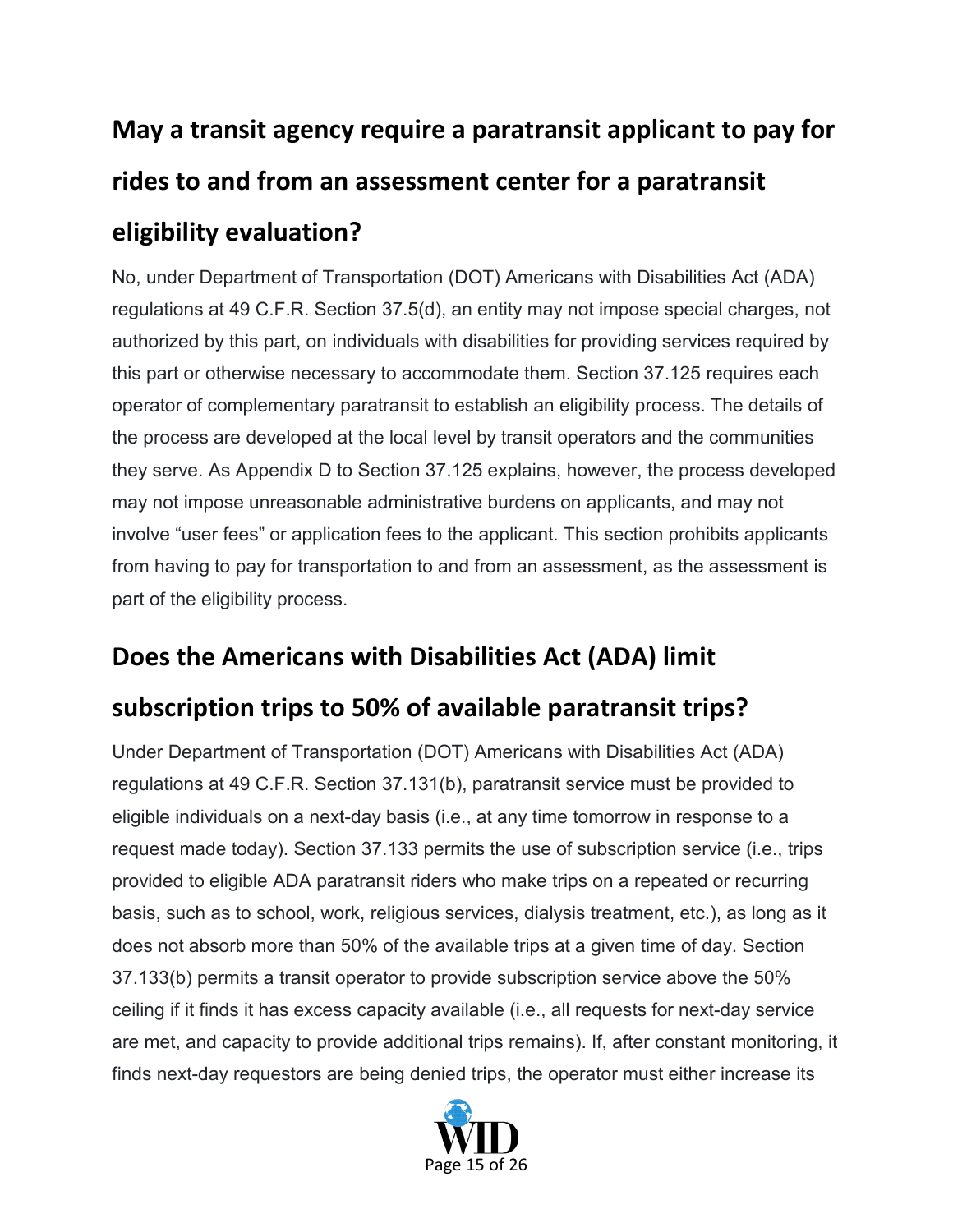# **May a transit agency require a paratransit applicant to pay for rides to and from an assessment center for a paratransit eligibility evaluation?**

No, under Department of Transportation (DOT) Americans with Disabilities Act (ADA) regulations at 49 C.F.R. Section 37.5(d), an entity may not impose special charges, not authorized by this part, on individuals with disabilities for providing services required by this part or otherwise necessary to accommodate them. Section 37.125 requires each operator of complementary paratransit to establish an eligibility process. The details of the process are developed at the local level by transit operators and the communities they serve. As Appendix D to Section 37.125 explains, however, the process developed may not impose unreasonable administrative burdens on applicants, and may not involve "user fees" or application fees to the applicant. This section prohibits applicants from having to pay for transportation to and from an assessment, as the assessment is part of the eligibility process.

#### **Does the Americans with Disabilities Act (ADA) limit**

#### **subscription trips to 50% of available paratransit trips?**

Under Department of Transportation (DOT) Americans with Disabilities Act (ADA) regulations at 49 C.F.R. Section 37.131(b), paratransit service must be provided to eligible individuals on a next-day basis (i.e., at any time tomorrow in response to a request made today). Section 37.133 permits the use of subscription service (i.e., trips provided to eligible ADA paratransit riders who make trips on a repeated or recurring basis, such as to school, work, religious services, dialysis treatment, etc.), as long as it does not absorb more than 50% of the available trips at a given time of day. Section 37.133(b) permits a transit operator to provide subscription service above the 50% ceiling if it finds it has excess capacity available (i.e., all requests for next-day service are met, and capacity to provide additional trips remains). If, after constant monitoring, it finds next-day requestors are being denied trips, the operator must either increase its

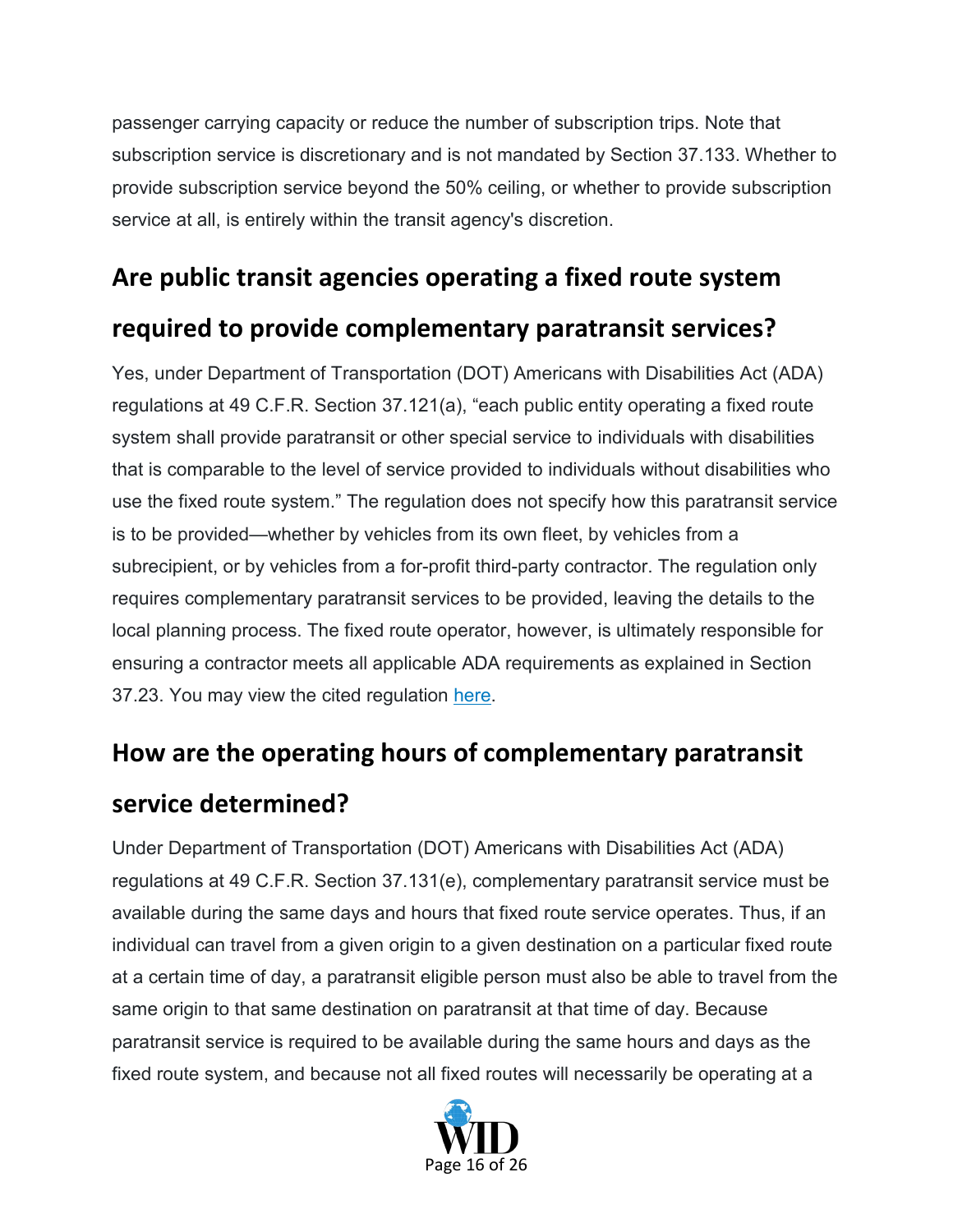passenger carrying capacity or reduce the number of subscription trips. Note that subscription service is discretionary and is not mandated by Section 37.133. Whether to provide subscription service beyond the 50% ceiling, or whether to provide subscription service at all, is entirely within the transit agency's discretion.

#### **Are public transit agencies operating a fixed route system**

#### **required to provide complementary paratransit services?**

Yes, under Department of Transportation (DOT) Americans with Disabilities Act (ADA) regulations at 49 C.F.R. Section 37.121(a), "each public entity operating a fixed route system shall provide paratransit or other special service to individuals with disabilities that is comparable to the level of service provided to individuals without disabilities who use the fixed route system." The regulation does not specify how this paratransit service is to be provided—whether by vehicles from its own fleet, by vehicles from a subrecipient, or by vehicles from a for-profit third-party contractor. The regulation only requires complementary paratransit services to be provided, leaving the details to the local planning process. The fixed route operator, however, is ultimately responsible for ensuring a contractor meets all applicable ADA requirements as explained in Section 37.23. You may view the cited regulation [here.](https://www.transit.dot.gov/regulations-and-guidance/civil-rights/part-37-transportation-services-individuals-disabilities)

#### **How are the operating hours of complementary paratransit**

#### **service determined?**

Under Department of Transportation (DOT) Americans with Disabilities Act (ADA) regulations at 49 C.F.R. Section 37.131(e), complementary paratransit service must be available during the same days and hours that fixed route service operates. Thus, if an individual can travel from a given origin to a given destination on a particular fixed route at a certain time of day, a paratransit eligible person must also be able to travel from the same origin to that same destination on paratransit at that time of day. Because paratransit service is required to be available during the same hours and days as the fixed route system, and because not all fixed routes will necessarily be operating at a

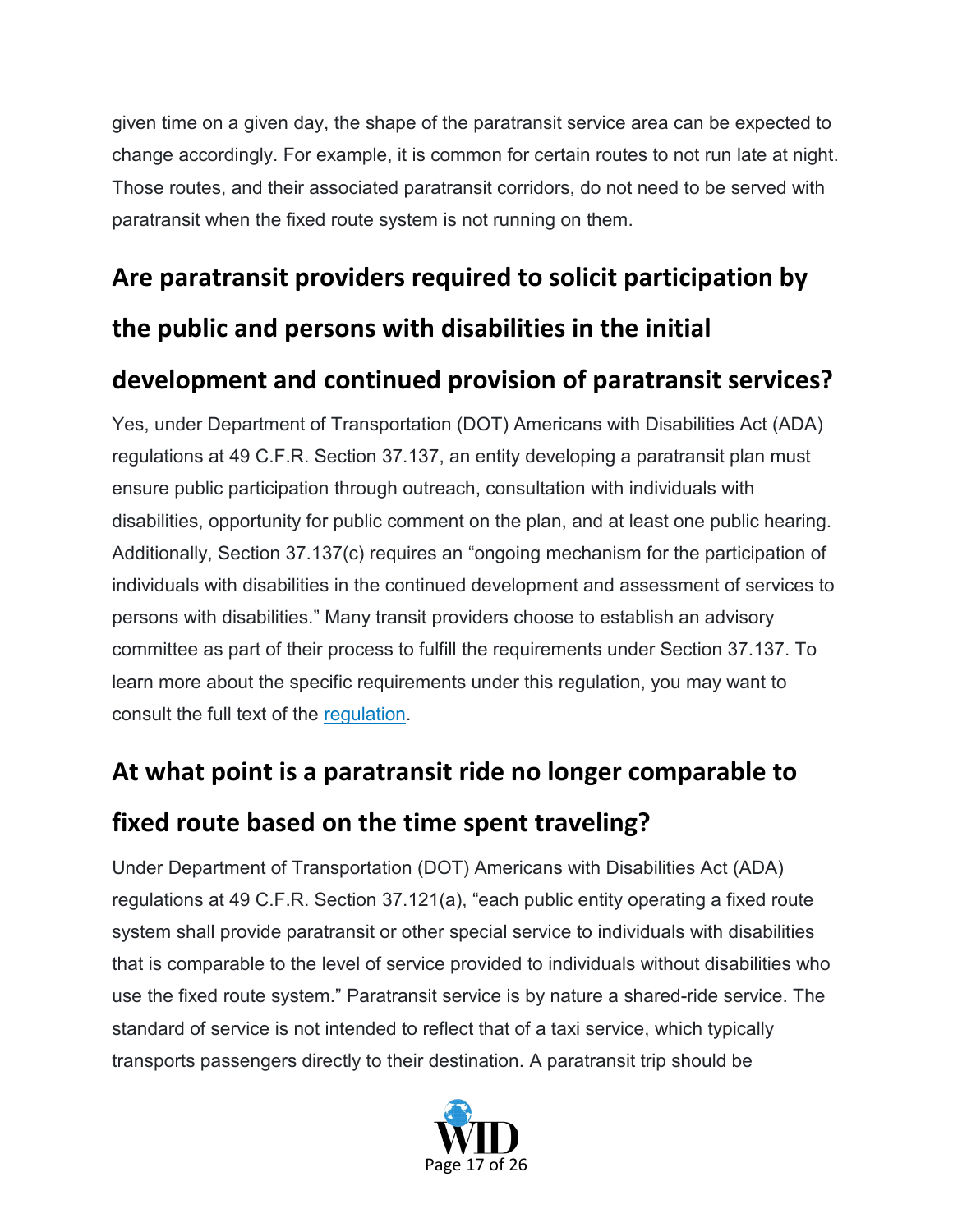given time on a given day, the shape of the paratransit service area can be expected to change accordingly. For example, it is common for certain routes to not run late at night. Those routes, and their associated paratransit corridors, do not need to be served with paratransit when the fixed route system is not running on them.

## **Are paratransit providers required to solicit participation by**

#### **the public and persons with disabilities in the initial**

## **development and continued provision of paratransit services?**

Yes, under Department of Transportation (DOT) Americans with Disabilities Act (ADA) regulations at 49 C.F.R. Section 37.137, an entity developing a paratransit plan must ensure public participation through outreach, consultation with individuals with disabilities, opportunity for public comment on the plan, and at least one public hearing. Additionally, Section 37.137(c) requires an "ongoing mechanism for the participation of individuals with disabilities in the continued development and assessment of services to persons with disabilities." Many transit providers choose to establish an advisory committee as part of their process to fulfill the requirements under Section 37.137. To learn more about the specific requirements under this regulation, you may want to consult the full text of the [regulation.](https://www.transit.dot.gov/regulations-and-guidance/civil-rights/part-37-transportation-services-individuals-disabilities)

#### **At what point is a paratransit ride no longer comparable to**

#### **fixed route based on the time spent traveling?**

Under Department of Transportation (DOT) Americans with Disabilities Act (ADA) regulations at 49 C.F.R. Section 37.121(a), "each public entity operating a fixed route system shall provide paratransit or other special service to individuals with disabilities that is comparable to the level of service provided to individuals without disabilities who use the fixed route system." Paratransit service is by nature a shared-ride service. The standard of service is not intended to reflect that of a taxi service, which typically transports passengers directly to their destination. A paratransit trip should be

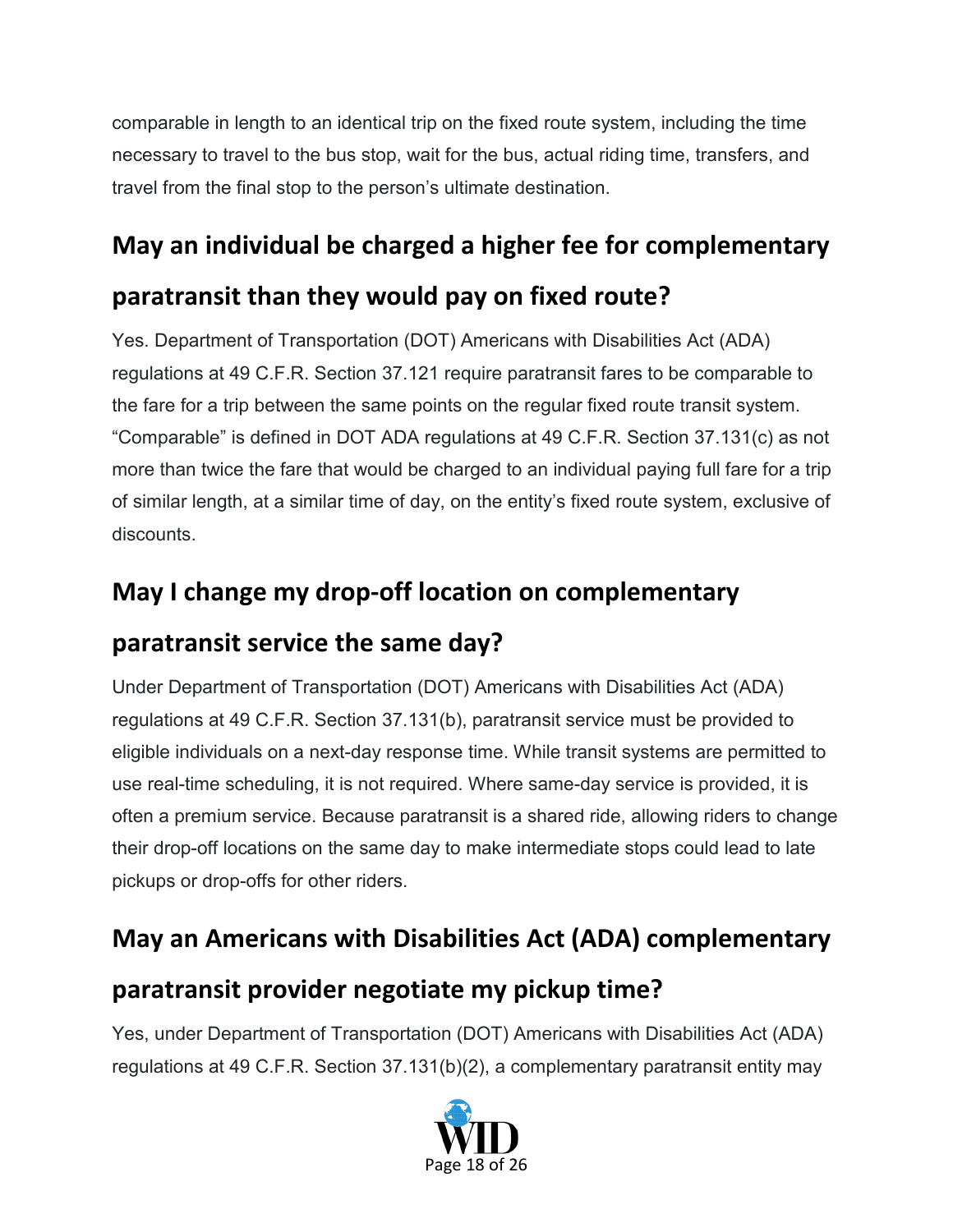comparable in length to an identical trip on the fixed route system, including the time necessary to travel to the bus stop, wait for the bus, actual riding time, transfers, and travel from the final stop to the person's ultimate destination.

## **May an individual be charged a higher fee for complementary**

#### **paratransit than they would pay on fixed route?**

Yes. Department of Transportation (DOT) Americans with Disabilities Act (ADA) regulations at 49 C.F.R. Section 37.121 require paratransit fares to be comparable to the fare for a trip between the same points on the regular fixed route transit system. "Comparable" is defined in DOT ADA regulations at 49 C.F.R. Section 37.131(c) as not more than twice the fare that would be charged to an individual paying full fare for a trip of similar length, at a similar time of day, on the entity's fixed route system, exclusive of discounts.

#### **May I change my drop-off location on complementary**

#### **paratransit service the same day?**

Under Department of Transportation (DOT) Americans with Disabilities Act (ADA) regulations at 49 C.F.R. Section 37.131(b), paratransit service must be provided to eligible individuals on a next-day response time. While transit systems are permitted to use real-time scheduling, it is not required. Where same-day service is provided, it is often a premium service. Because paratransit is a shared ride, allowing riders to change their drop-off locations on the same day to make intermediate stops could lead to late pickups or drop-offs for other riders.

## **May an Americans with Disabilities Act (ADA) complementary**

## **paratransit provider negotiate my pickup time?**

Yes, under Department of Transportation (DOT) Americans with Disabilities Act (ADA) regulations at 49 C.F.R. Section 37.131(b)(2), a complementary paratransit entity may

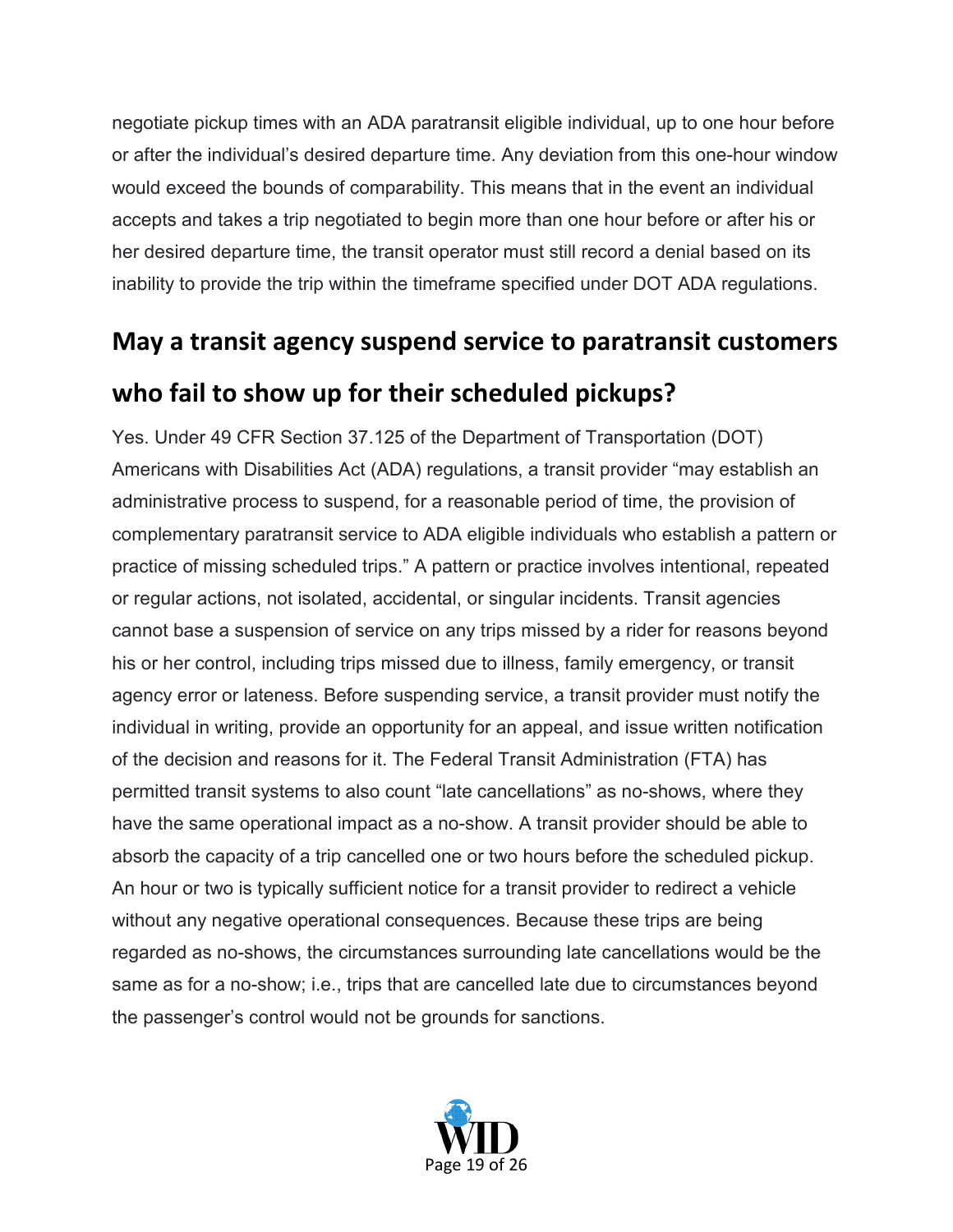negotiate pickup times with an ADA paratransit eligible individual, up to one hour before or after the individual's desired departure time. Any deviation from this one-hour window would exceed the bounds of comparability. This means that in the event an individual accepts and takes a trip negotiated to begin more than one hour before or after his or her desired departure time, the transit operator must still record a denial based on its inability to provide the trip within the timeframe specified under DOT ADA regulations.

#### **May a transit agency suspend service to paratransit customers**

#### **who fail to show up for their scheduled pickups?**

Yes. Under 49 CFR Section 37.125 of the Department of Transportation (DOT) Americans with Disabilities Act (ADA) regulations, a transit provider "may establish an administrative process to suspend, for a reasonable period of time, the provision of complementary paratransit service to ADA eligible individuals who establish a pattern or practice of missing scheduled trips." A pattern or practice involves intentional, repeated or regular actions, not isolated, accidental, or singular incidents. Transit agencies cannot base a suspension of service on any trips missed by a rider for reasons beyond his or her control, including trips missed due to illness, family emergency, or transit agency error or lateness. Before suspending service, a transit provider must notify the individual in writing, provide an opportunity for an appeal, and issue written notification of the decision and reasons for it. The Federal Transit Administration (FTA) has permitted transit systems to also count "late cancellations" as no-shows, where they have the same operational impact as a no-show. A transit provider should be able to absorb the capacity of a trip cancelled one or two hours before the scheduled pickup. An hour or two is typically sufficient notice for a transit provider to redirect a vehicle without any negative operational consequences. Because these trips are being regarded as no-shows, the circumstances surrounding late cancellations would be the same as for a no-show; i.e., trips that are cancelled late due to circumstances beyond the passenger's control would not be grounds for sanctions.

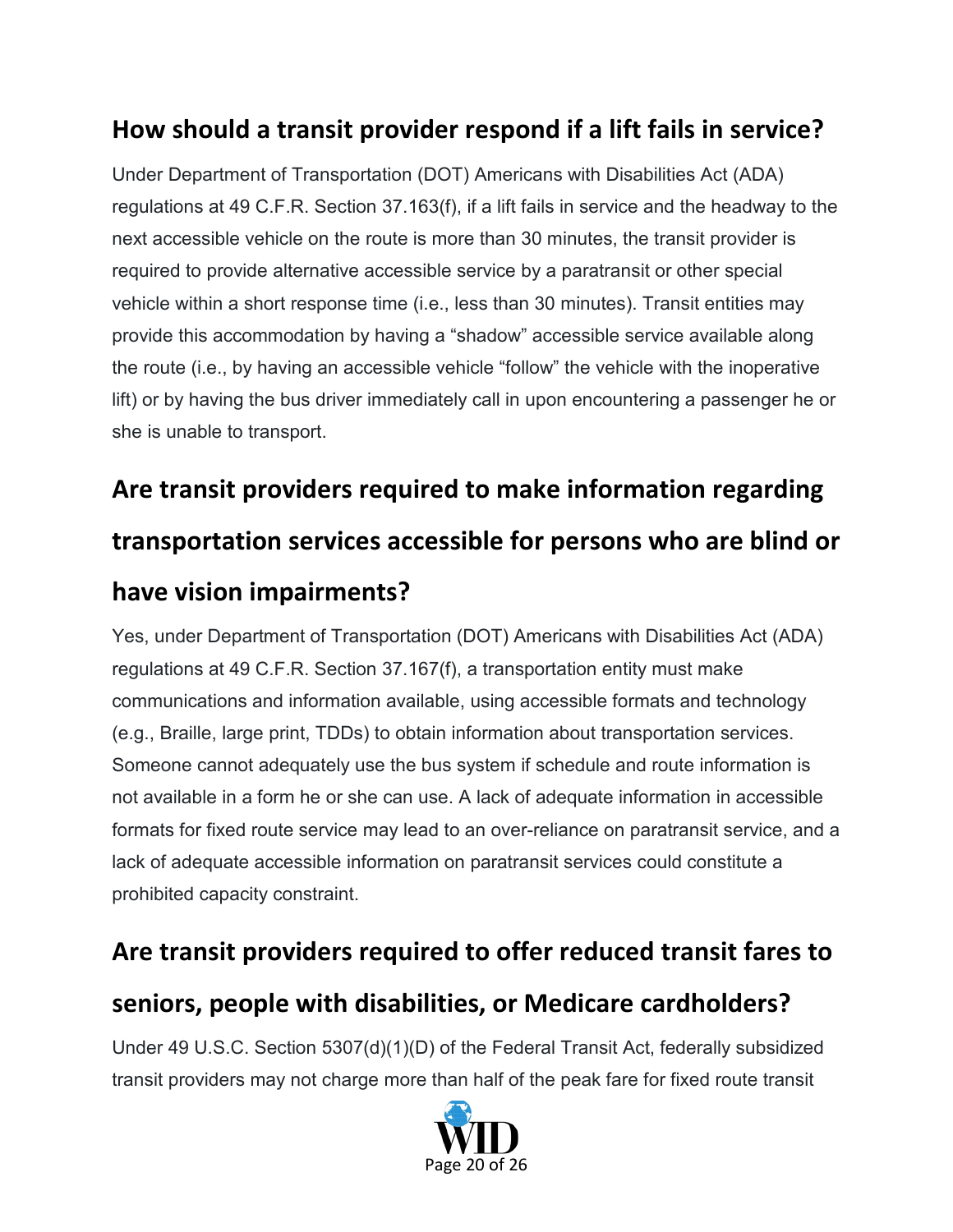#### **How should a transit provider respond if a lift fails in service?**

Under Department of Transportation (DOT) Americans with Disabilities Act (ADA) regulations at 49 C.F.R. Section 37.163(f), if a lift fails in service and the headway to the next accessible vehicle on the route is more than 30 minutes, the transit provider is required to provide alternative accessible service by a paratransit or other special vehicle within a short response time (i.e., less than 30 minutes). Transit entities may provide this accommodation by having a "shadow" accessible service available along the route (i.e., by having an accessible vehicle "follow" the vehicle with the inoperative lift) or by having the bus driver immediately call in upon encountering a passenger he or she is unable to transport.

#### **Are transit providers required to make information regarding**

#### **transportation services accessible for persons who are blind or**

#### **have vision impairments?**

Yes, under Department of Transportation (DOT) Americans with Disabilities Act (ADA) regulations at 49 C.F.R. Section 37.167(f), a transportation entity must make communications and information available, using accessible formats and technology (e.g., Braille, large print, TDDs) to obtain information about transportation services. Someone cannot adequately use the bus system if schedule and route information is not available in a form he or she can use. A lack of adequate information in accessible formats for fixed route service may lead to an over-reliance on paratransit service, and a lack of adequate accessible information on paratransit services could constitute a prohibited capacity constraint.

#### **Are transit providers required to offer reduced transit fares to**

#### **seniors, people with disabilities, or Medicare cardholders?**

Under 49 U.S.C. Section 5307(d)(1)(D) of the Federal Transit Act, federally subsidized transit providers may not charge more than half of the peak fare for fixed route transit

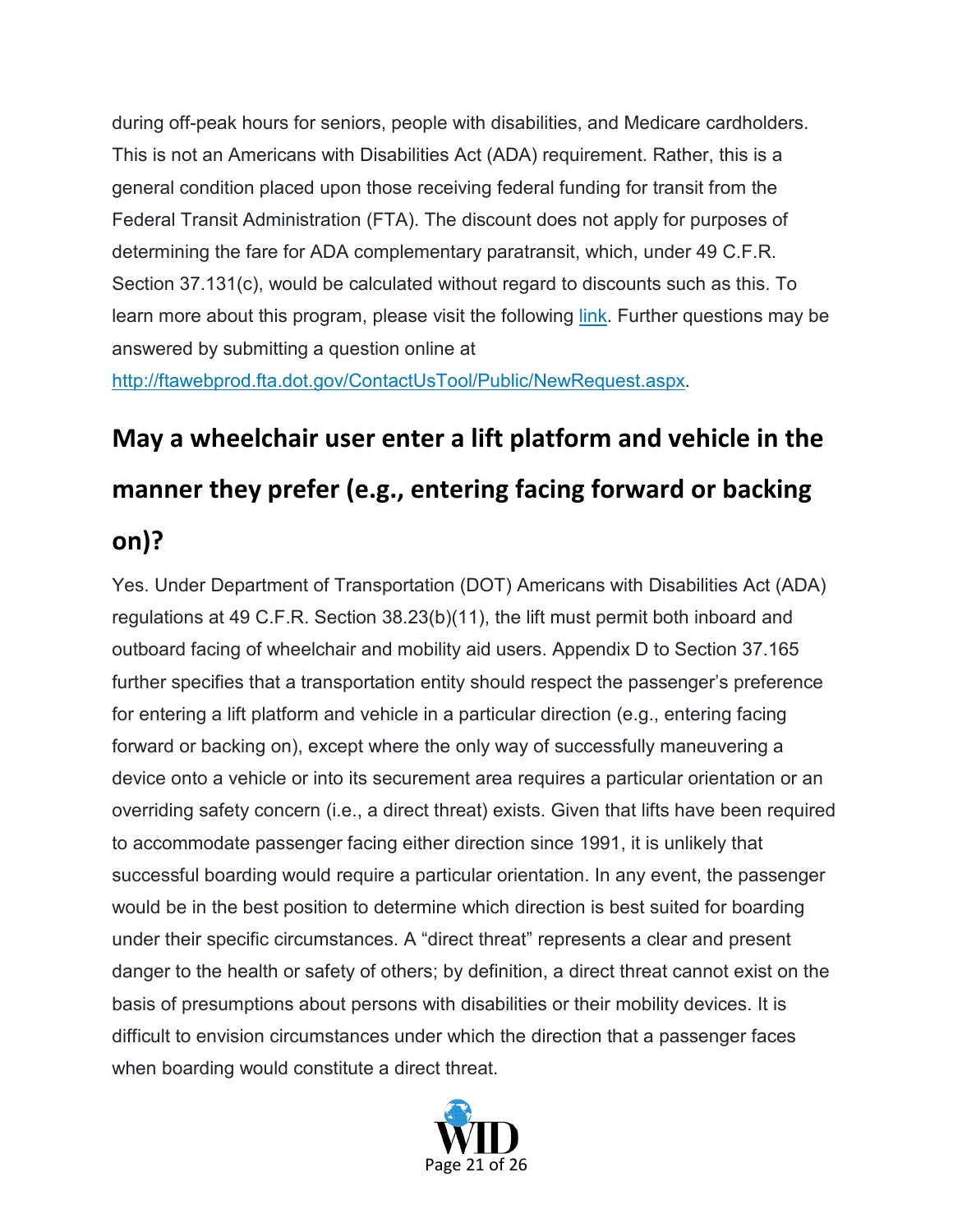during off-peak hours for seniors, people with disabilities, and Medicare cardholders. This is not an Americans with Disabilities Act (ADA) requirement. Rather, this is a general condition placed upon those receiving federal funding for transit from the Federal Transit Administration (FTA). The discount does not apply for purposes of determining the fare for ADA complementary paratransit, which, under 49 C.F.R. Section 37.131(c), would be calculated without regard to discounts such as this. To learn more about this program, please visit the following [link.](https://www.transit.dot.gov/regulations-and-guidance/civil-rights/half-fare-triennial-guidance-fy2011) Further questions may be answered by submitting a question online at

[http://ftawebprod.fta.dot.gov/ContactUsTool/Public/NewRequest.aspx.](http://ftawebprod.fta.dot.gov/ContactUsTool/Public/NewRequest.aspx)

# **May a wheelchair user enter a lift platform and vehicle in the manner they prefer (e.g., entering facing forward or backing**

#### **on)?**

Yes. Under Department of Transportation (DOT) Americans with Disabilities Act (ADA) regulations at 49 C.F.R. Section 38.23(b)(11), the lift must permit both inboard and outboard facing of wheelchair and mobility aid users. Appendix D to Section 37.165 further specifies that a transportation entity should respect the passenger's preference for entering a lift platform and vehicle in a particular direction (e.g., entering facing forward or backing on), except where the only way of successfully maneuvering a device onto a vehicle or into its securement area requires a particular orientation or an overriding safety concern (i.e., a direct threat) exists. Given that lifts have been required to accommodate passenger facing either direction since 1991, it is unlikely that successful boarding would require a particular orientation. In any event, the passenger would be in the best position to determine which direction is best suited for boarding under their specific circumstances. A "direct threat" represents a clear and present danger to the health or safety of others; by definition, a direct threat cannot exist on the basis of presumptions about persons with disabilities or their mobility devices. It is difficult to envision circumstances under which the direction that a passenger faces when boarding would constitute a direct threat.

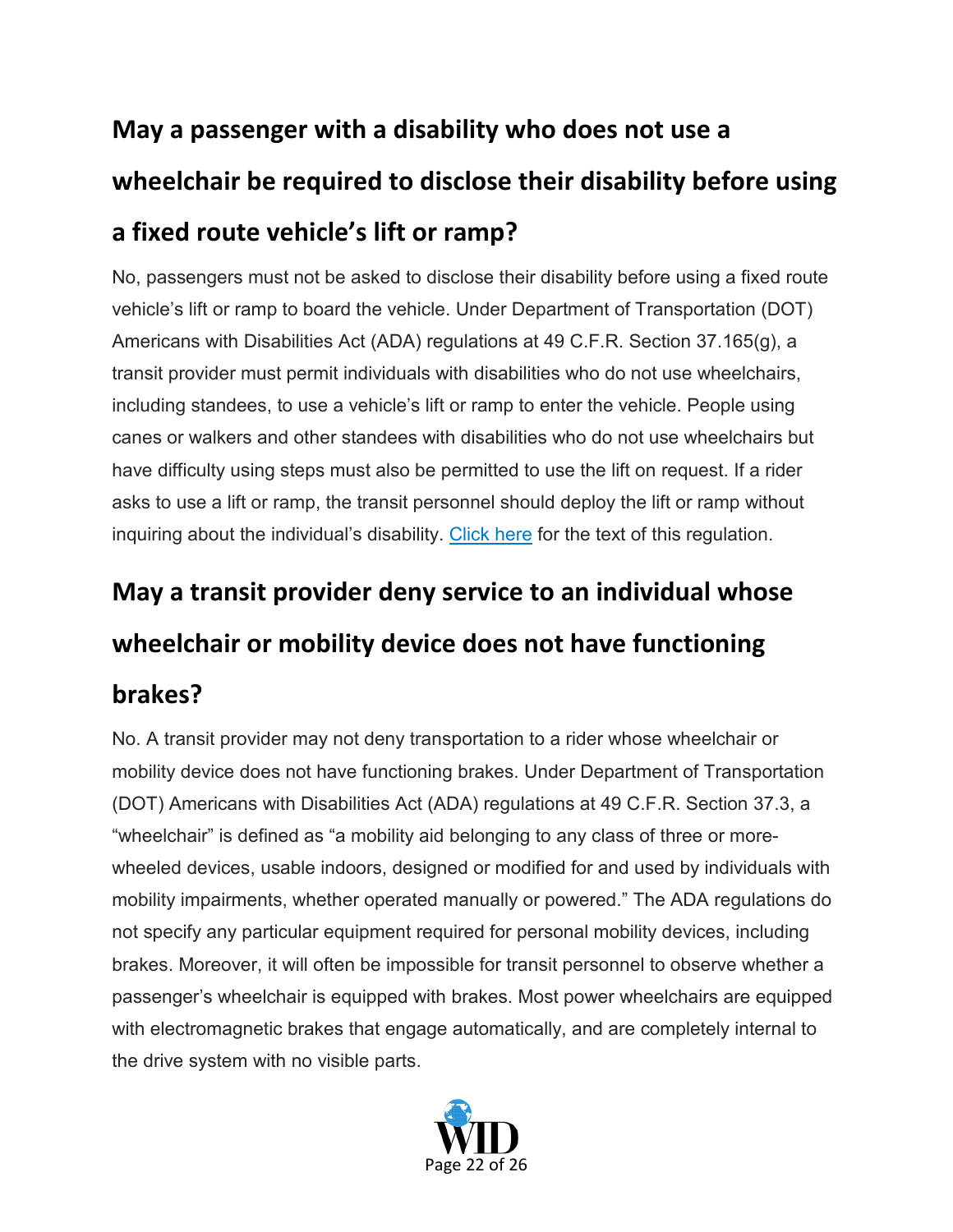# **May a passenger with a disability who does not use a wheelchair be required to disclose their disability before using a fixed route vehicle's lift or ramp?**

No, passengers must not be asked to disclose their disability before using a fixed route vehicle's lift or ramp to board the vehicle. Under Department of Transportation (DOT) Americans with Disabilities Act (ADA) regulations at 49 C.F.R. Section 37.165(g), a transit provider must permit individuals with disabilities who do not use wheelchairs, including standees, to use a vehicle's lift or ramp to enter the vehicle. People using canes or walkers and other standees with disabilities who do not use wheelchairs but have difficulty using steps must also be permitted to use the lift on request. If a rider asks to use a lift or ramp, the transit personnel should deploy the lift or ramp without inquiring about the individual's disability. [Click here](https://www.transit.dot.gov/regulations-and-guidance/civil-rights/part-37-transportation-services-individuals-disabilities) for the text of this regulation.

#### **May a transit provider deny service to an individual whose**

#### **wheelchair or mobility device does not have functioning**

#### **brakes?**

No. A transit provider may not deny transportation to a rider whose wheelchair or mobility device does not have functioning brakes. Under Department of Transportation (DOT) Americans with Disabilities Act (ADA) regulations at 49 C.F.R. Section 37.3, a "wheelchair" is defined as "a mobility aid belonging to any class of three or morewheeled devices, usable indoors, designed or modified for and used by individuals with mobility impairments, whether operated manually or powered." The ADA regulations do not specify any particular equipment required for personal mobility devices, including brakes. Moreover, it will often be impossible for transit personnel to observe whether a passenger's wheelchair is equipped with brakes. Most power wheelchairs are equipped with electromagnetic brakes that engage automatically, and are completely internal to the drive system with no visible parts.

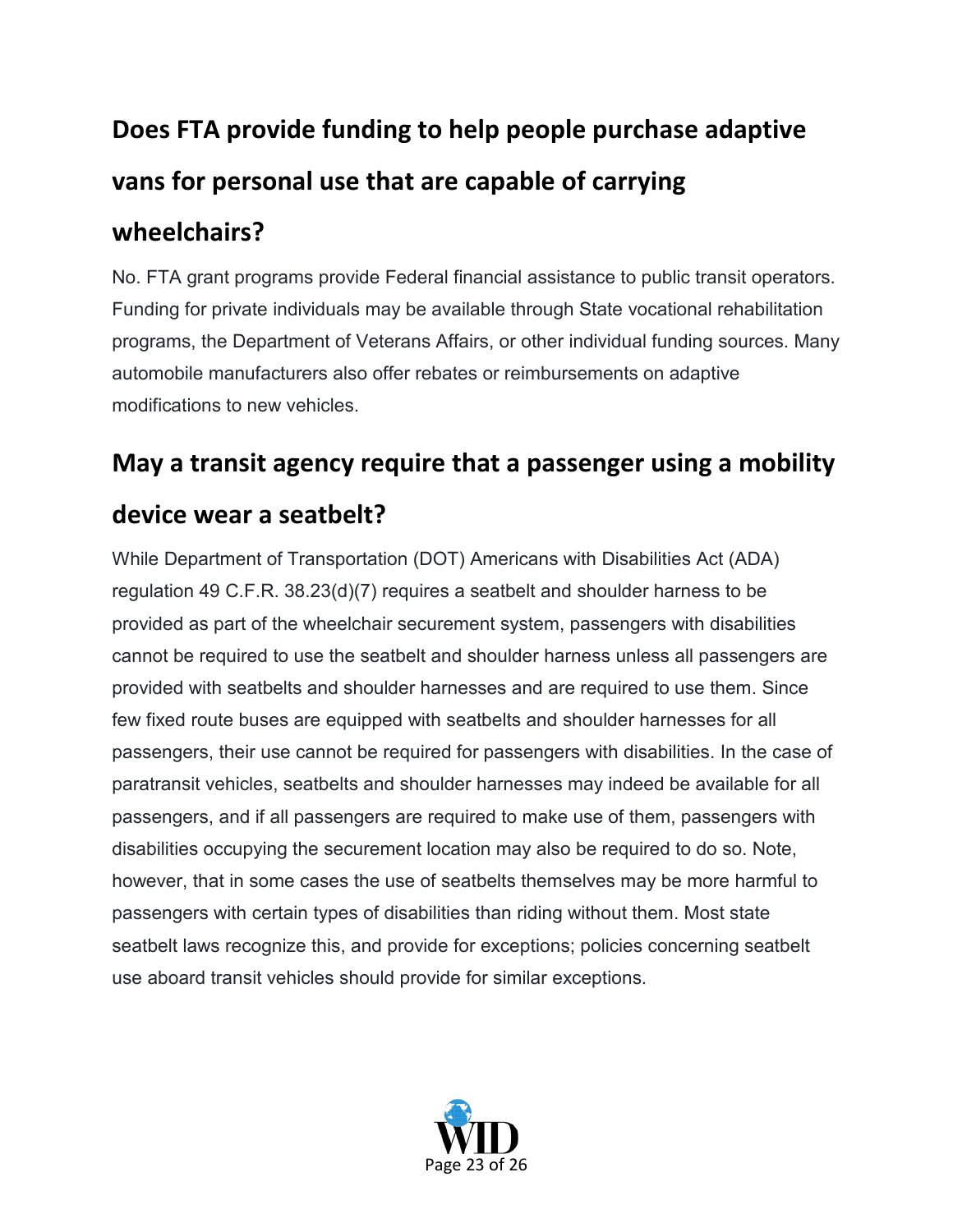# **Does FTA provide funding to help people purchase adaptive vans for personal use that are capable of carrying**

#### **wheelchairs?**

No. FTA grant programs provide Federal financial assistance to public transit operators. Funding for private individuals may be available through State vocational rehabilitation programs, the Department of Veterans Affairs, or other individual funding sources. Many automobile manufacturers also offer rebates or reimbursements on adaptive modifications to new vehicles.

#### **May a transit agency require that a passenger using a mobility**

## **device wear a seatbelt?**

While Department of Transportation (DOT) Americans with Disabilities Act (ADA) regulation 49 C.F.R. 38.23(d)(7) requires a seatbelt and shoulder harness to be provided as part of the wheelchair securement system, passengers with disabilities cannot be required to use the seatbelt and shoulder harness unless all passengers are provided with seatbelts and shoulder harnesses and are required to use them. Since few fixed route buses are equipped with seatbelts and shoulder harnesses for all passengers, their use cannot be required for passengers with disabilities. In the case of paratransit vehicles, seatbelts and shoulder harnesses may indeed be available for all passengers, and if all passengers are required to make use of them, passengers with disabilities occupying the securement location may also be required to do so. Note, however, that in some cases the use of seatbelts themselves may be more harmful to passengers with certain types of disabilities than riding without them. Most state seatbelt laws recognize this, and provide for exceptions; policies concerning seatbelt use aboard transit vehicles should provide for similar exceptions.

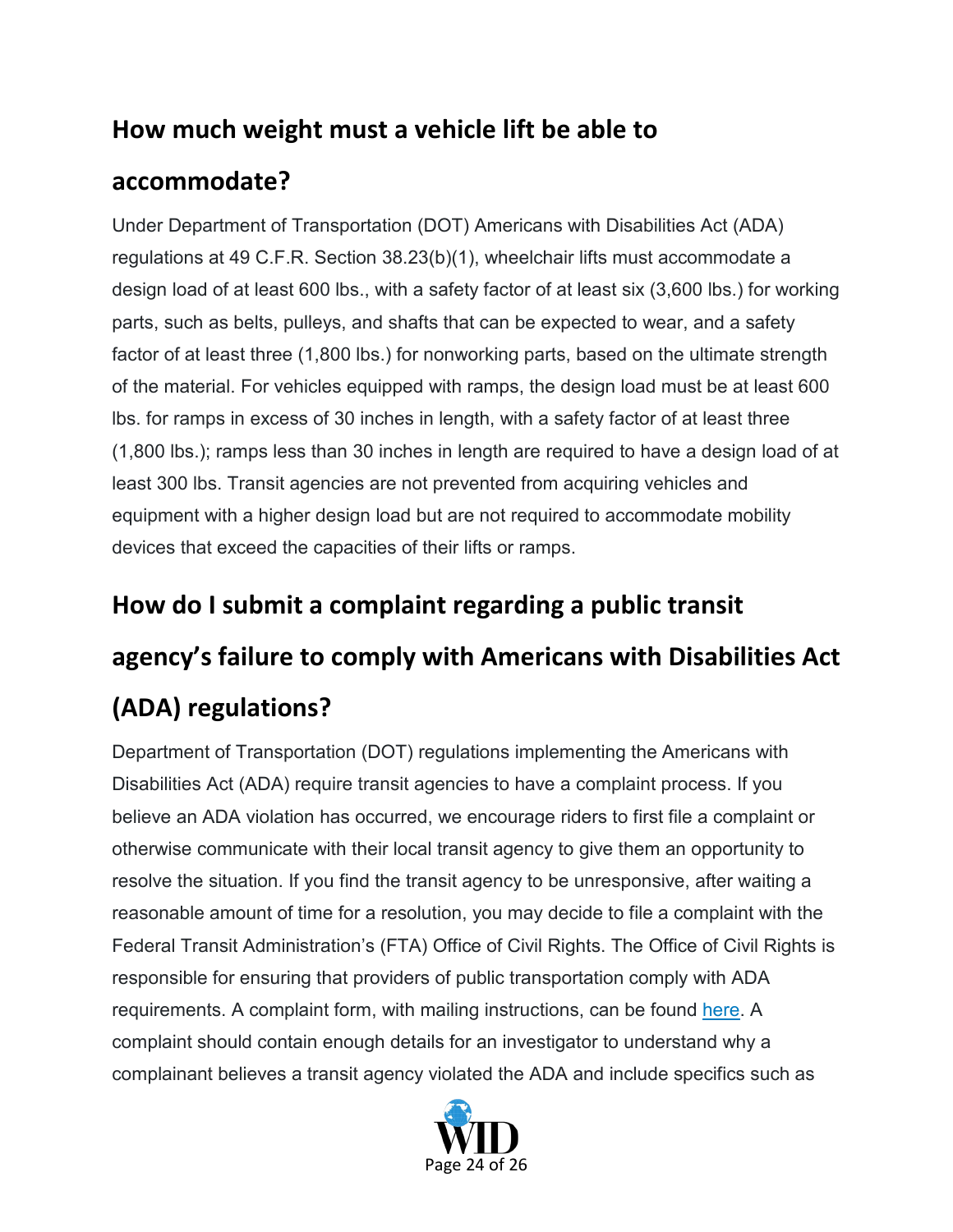#### **How much weight must a vehicle lift be able to**

#### **accommodate?**

Under Department of Transportation (DOT) Americans with Disabilities Act (ADA) regulations at 49 C.F.R. Section 38.23(b)(1), wheelchair lifts must accommodate a design load of at least 600 lbs., with a safety factor of at least six (3,600 lbs.) for working parts, such as belts, pulleys, and shafts that can be expected to wear, and a safety factor of at least three (1,800 lbs.) for nonworking parts, based on the ultimate strength of the material. For vehicles equipped with ramps, the design load must be at least 600 lbs. for ramps in excess of 30 inches in length, with a safety factor of at least three (1,800 lbs.); ramps less than 30 inches in length are required to have a design load of at least 300 lbs. Transit agencies are not prevented from acquiring vehicles and equipment with a higher design load but are not required to accommodate mobility devices that exceed the capacities of their lifts or ramps.

# **How do I submit a complaint regarding a public transit agency's failure to comply with Americans with Disabilities Act (ADA) regulations?**

Department of Transportation (DOT) regulations implementing the Americans with Disabilities Act (ADA) require transit agencies to have a complaint process. If you believe an ADA violation has occurred, we encourage riders to first file a complaint or otherwise communicate with their local transit agency to give them an opportunity to resolve the situation. If you find the transit agency to be unresponsive, after waiting a reasonable amount of time for a resolution, you may decide to file a complaint with the Federal Transit Administration's (FTA) Office of Civil Rights. The Office of Civil Rights is responsible for ensuring that providers of public transportation comply with ADA requirements. A complaint form, with mailing instructions, can be found [here.](https://www.transit.dot.gov/regulations-and-guidance/civil-rights/file-complaint-fta) A complaint should contain enough details for an investigator to understand why a complainant believes a transit agency violated the ADA and include specifics such as